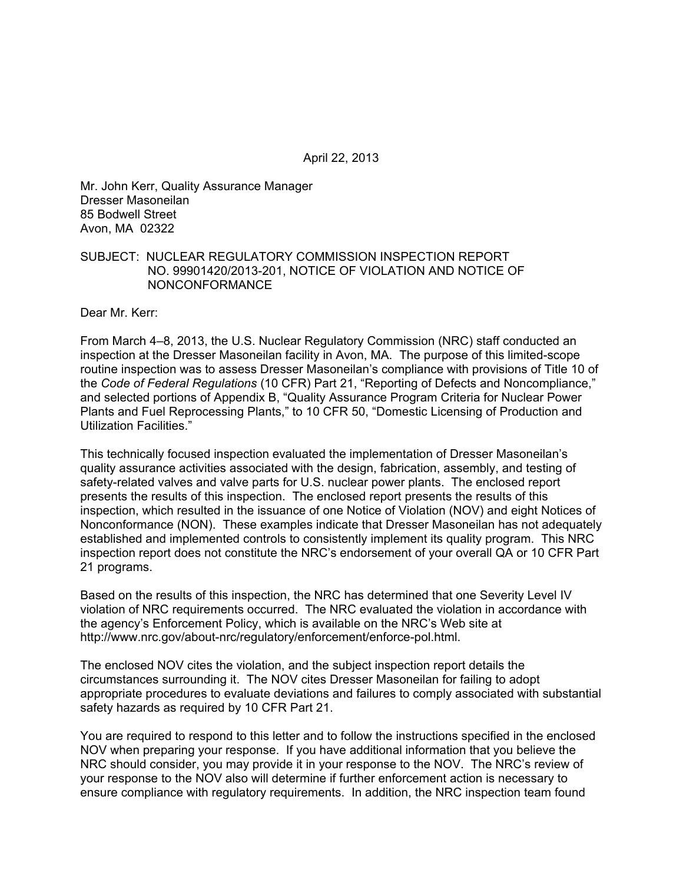April 22, 2013

Mr. John Kerr, Quality Assurance Manager Dresser Masoneilan 85 Bodwell Street Avon, MA 02322

#### SUBJECT: NUCLEAR REGULATORY COMMISSION INSPECTION REPORT NO. 99901420/2013-201, NOTICE OF VIOLATION AND NOTICE OF NONCONFORMANCE

Dear Mr. Kerr:

From March 4–8, 2013, the U.S. Nuclear Regulatory Commission (NRC) staff conducted an inspection at the Dresser Masoneilan facility in Avon, MA. The purpose of this limited-scope routine inspection was to assess Dresser Masoneilan's compliance with provisions of Title 10 of the *Code of Federal Regulations* (10 CFR) Part 21, "Reporting of Defects and Noncompliance," and selected portions of Appendix B, "Quality Assurance Program Criteria for Nuclear Power Plants and Fuel Reprocessing Plants," to 10 CFR 50, "Domestic Licensing of Production and Utilization Facilities."

This technically focused inspection evaluated the implementation of Dresser Masoneilan's quality assurance activities associated with the design, fabrication, assembly, and testing of safety-related valves and valve parts for U.S. nuclear power plants. The enclosed report presents the results of this inspection. The enclosed report presents the results of this inspection, which resulted in the issuance of one Notice of Violation (NOV) and eight Notices of Nonconformance (NON). These examples indicate that Dresser Masoneilan has not adequately established and implemented controls to consistently implement its quality program. This NRC inspection report does not constitute the NRC's endorsement of your overall QA or 10 CFR Part 21 programs.

Based on the results of this inspection, the NRC has determined that one Severity Level IV violation of NRC requirements occurred. The NRC evaluated the violation in accordance with the agency's Enforcement Policy, which is available on the NRC's Web site at http://www.nrc.gov/about-nrc/regulatory/enforcement/enforce-pol.html.

The enclosed NOV cites the violation, and the subject inspection report details the circumstances surrounding it. The NOV cites Dresser Masoneilan for failing to adopt appropriate procedures to evaluate deviations and failures to comply associated with substantial safety hazards as required by 10 CFR Part 21.

You are required to respond to this letter and to follow the instructions specified in the enclosed NOV when preparing your response. If you have additional information that you believe the NRC should consider, you may provide it in your response to the NOV. The NRC's review of your response to the NOV also will determine if further enforcement action is necessary to ensure compliance with regulatory requirements. In addition, the NRC inspection team found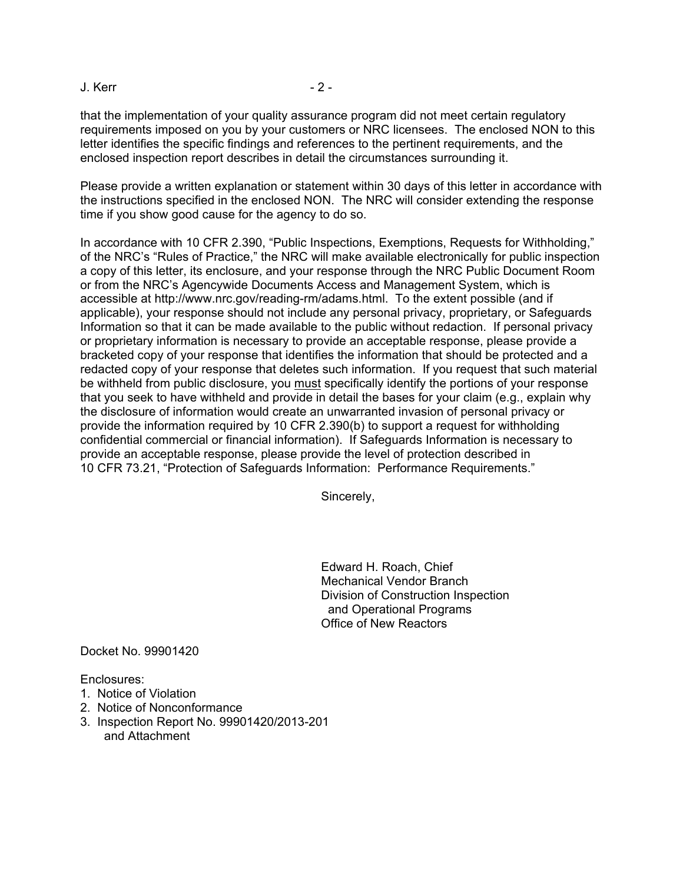#### J. Kerr - 2 -

that the implementation of your quality assurance program did not meet certain regulatory requirements imposed on you by your customers or NRC licensees. The enclosed NON to this letter identifies the specific findings and references to the pertinent requirements, and the enclosed inspection report describes in detail the circumstances surrounding it.

Please provide a written explanation or statement within 30 days of this letter in accordance with the instructions specified in the enclosed NON. The NRC will consider extending the response time if you show good cause for the agency to do so.

In accordance with 10 CFR 2.390, "Public Inspections, Exemptions, Requests for Withholding," of the NRC's "Rules of Practice," the NRC will make available electronically for public inspection a copy of this letter, its enclosure, and your response through the NRC Public Document Room or from the NRC's Agencywide Documents Access and Management System, which is accessible at http://www.nrc.gov/reading-rm/adams.html. To the extent possible (and if applicable), your response should not include any personal privacy, proprietary, or Safeguards Information so that it can be made available to the public without redaction. If personal privacy or proprietary information is necessary to provide an acceptable response, please provide a bracketed copy of your response that identifies the information that should be protected and a redacted copy of your response that deletes such information. If you request that such material be withheld from public disclosure, you must specifically identify the portions of your response that you seek to have withheld and provide in detail the bases for your claim (e.g., explain why the disclosure of information would create an unwarranted invasion of personal privacy or provide the information required by 10 CFR 2.390(b) to support a request for withholding confidential commercial or financial information). If Safeguards Information is necessary to provide an acceptable response, please provide the level of protection described in 10 CFR 73.21, "Protection of Safeguards Information: Performance Requirements."

Sincerely,

Edward H. Roach, Chief Mechanical Vendor Branch Division of Construction Inspection and Operational Programs Office of New Reactors

Docket No. 99901420

Enclosures:

- 1. Notice of Violation
- 2. Notice of Nonconformance
- 3. Inspection Report No. 99901420/2013-201 and Attachment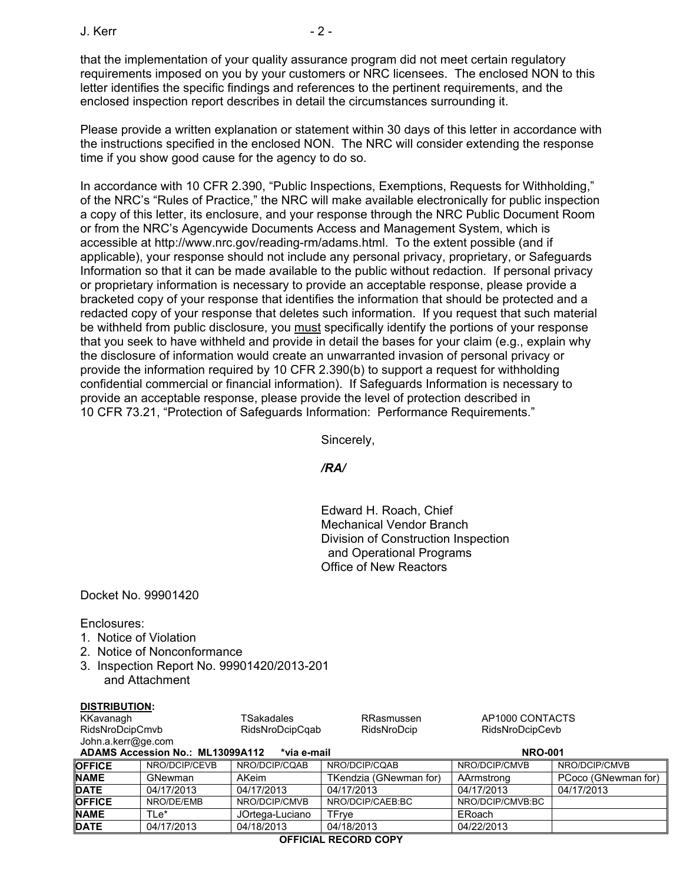$J$  Kerr  $-2$  -

that the implementation of your quality assurance program did not meet certain regulatory requirements imposed on you by your customers or NRC licensees. The enclosed NON to this letter identifies the specific findings and references to the pertinent requirements, and the enclosed inspection report describes in detail the circumstances surrounding it.

Please provide a written explanation or statement within 30 days of this letter in accordance with the instructions specified in the enclosed NON. The NRC will consider extending the response time if you show good cause for the agency to do so.

In accordance with 10 CFR 2.390, "Public Inspections, Exemptions, Requests for Withholding," of the NRC's "Rules of Practice," the NRC will make available electronically for public inspection a copy of this letter, its enclosure, and your response through the NRC Public Document Room or from the NRC's Agencywide Documents Access and Management System, which is accessible at http://www.nrc.gov/reading-rm/adams.html. To the extent possible (and if applicable), your response should not include any personal privacy, proprietary, or Safeguards Information so that it can be made available to the public without redaction. If personal privacy or proprietary information is necessary to provide an acceptable response, please provide a bracketed copy of your response that identifies the information that should be protected and a redacted copy of your response that deletes such information. If you request that such material be withheld from public disclosure, you must specifically identify the portions of your response that you seek to have withheld and provide in detail the bases for your claim (e.g., explain why the disclosure of information would create an unwarranted invasion of personal privacy or provide the information required by 10 CFR 2.390(b) to support a request for withholding confidential commercial or financial information). If Safeguards Information is necessary to provide an acceptable response, please provide the level of protection described in 10 CFR 73.21, "Protection of Safeguards Information: Performance Requirements."

Sincerely,

*/RA/* 

Edward H. Roach, Chief Mechanical Vendor Branch Division of Construction Inspection and Operational Programs Office of New Reactors

Docket No. 99901420

Enclosures:

**DISTRIBUTION:** 

- 1. Notice of Violation
- 2. Notice of Nonconformance
- 3. Inspection Report No. 99901420/2013-201 and Attachment

| KKavanagh          |                                  | TSakadales      | <b>RRasmussen</b>      | AP1000 CONTACTS  |                     |
|--------------------|----------------------------------|-----------------|------------------------|------------------|---------------------|
| RidsNroDcipCmvb    |                                  | RidsNroDcipCqab | RidsNroDcip            | RidsNroDcipCevb  |                     |
| John.a.kerr@ge.com |                                  |                 |                        |                  |                     |
|                    | ADAMS Accession No.: ML13099A112 | *via e-mail     |                        | <b>NRO-001</b>   |                     |
| <b>OFFICE</b>      | NRO/DCIP/CEVB                    | NRO/DCIP/CQAB   | NRO/DCIP/CQAB          | NRO/DCIP/CMVB    | NRO/DCIP/CMVB       |
| <b>NAME</b>        | GNewman                          | AKeim           | TKendzia (GNewman for) | AArmstrong       | PCoco (GNewman for) |
| <b>DATE</b>        | 04/17/2013                       | 04/17/2013      | 04/17/2013             | 04/17/2013       | 04/17/2013          |
| <b>OFFICE</b>      | NRO/DE/EMB                       | NRO/DCIP/CMVB   | NRO/DCIP/CAEB:BC       | NRO/DCIP/CMVB:BC |                     |
| <b>NAME</b>        | TLe*                             | JOrtega-Luciano | <b>TFrve</b>           | ERoach           |                     |
| <b>DATE</b>        | 04/17/2013                       | 04/18/2013      | 04/18/2013             | 04/22/2013       |                     |
|                    |                                  |                 |                        |                  |                     |

**OFFICIAL RECORD COPY**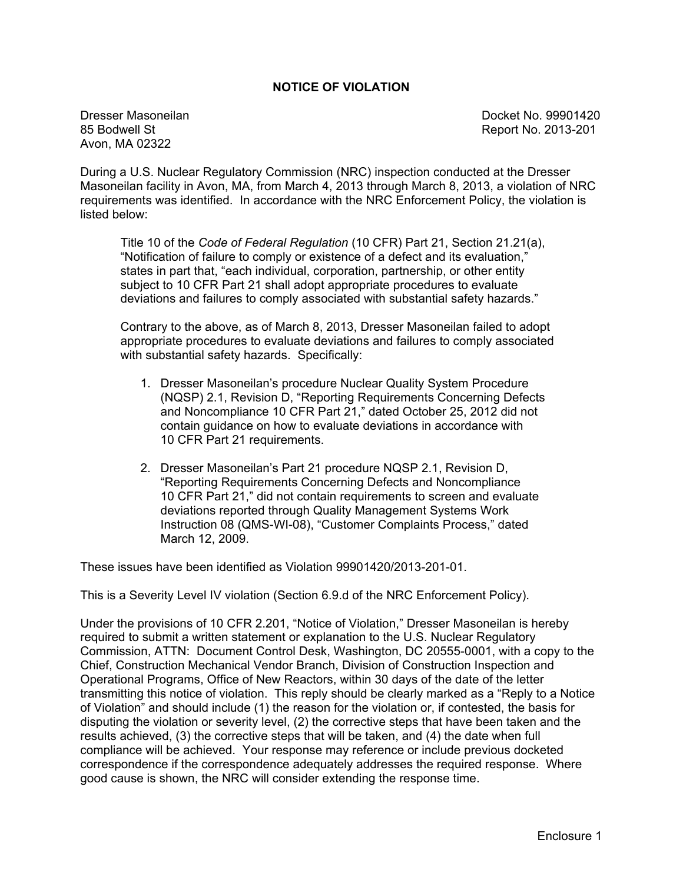#### **NOTICE OF VIOLATION**

Avon, MA 02322

Dresser Masoneilan and Docket No. 99901420<br>85 Bodwell St Report No. 2013-201

During a U.S. Nuclear Regulatory Commission (NRC) inspection conducted at the Dresser Masoneilan facility in Avon, MA, from March 4, 2013 through March 8, 2013, a violation of NRC requirements was identified. In accordance with the NRC Enforcement Policy, the violation is listed below:

Title 10 of the *Code of Federal Regulation* (10 CFR) Part 21, Section 21.21(a), "Notification of failure to comply or existence of a defect and its evaluation," states in part that, "each individual, corporation, partnership, or other entity subject to 10 CFR Part 21 shall adopt appropriate procedures to evaluate deviations and failures to comply associated with substantial safety hazards."

Contrary to the above, as of March 8, 2013, Dresser Masoneilan failed to adopt appropriate procedures to evaluate deviations and failures to comply associated with substantial safety hazards. Specifically:

- 1. Dresser Masoneilan's procedure Nuclear Quality System Procedure (NQSP) 2.1, Revision D, "Reporting Requirements Concerning Defects and Noncompliance 10 CFR Part 21," dated October 25, 2012 did not contain guidance on how to evaluate deviations in accordance with 10 CFR Part 21 requirements.
- 2. Dresser Masoneilan's Part 21 procedure NQSP 2.1, Revision D, "Reporting Requirements Concerning Defects and Noncompliance 10 CFR Part 21," did not contain requirements to screen and evaluate deviations reported through Quality Management Systems Work Instruction 08 (QMS-WI-08), "Customer Complaints Process," dated March 12, 2009.

These issues have been identified as Violation 99901420/2013-201-01.

This is a Severity Level IV violation (Section 6.9.d of the NRC Enforcement Policy).

Under the provisions of 10 CFR 2.201, "Notice of Violation," Dresser Masoneilan is hereby required to submit a written statement or explanation to the U.S. Nuclear Regulatory Commission, ATTN: Document Control Desk, Washington, DC 20555-0001, with a copy to the Chief, Construction Mechanical Vendor Branch, Division of Construction Inspection and Operational Programs, Office of New Reactors, within 30 days of the date of the letter transmitting this notice of violation. This reply should be clearly marked as a "Reply to a Notice of Violation" and should include (1) the reason for the violation or, if contested, the basis for disputing the violation or severity level, (2) the corrective steps that have been taken and the results achieved, (3) the corrective steps that will be taken, and (4) the date when full compliance will be achieved. Your response may reference or include previous docketed correspondence if the correspondence adequately addresses the required response. Where good cause is shown, the NRC will consider extending the response time.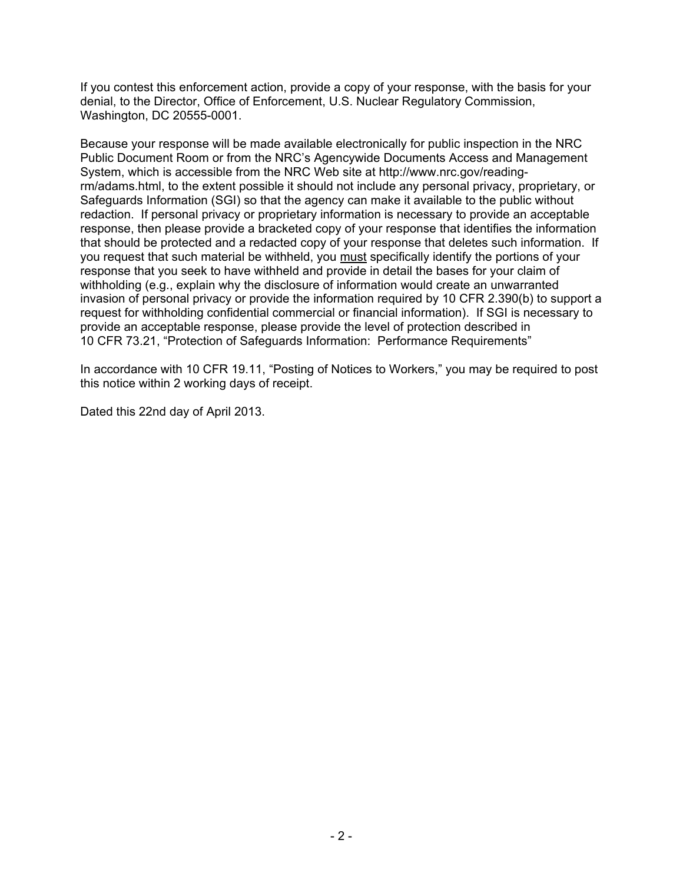If you contest this enforcement action, provide a copy of your response, with the basis for your denial, to the Director, Office of Enforcement, U.S. Nuclear Regulatory Commission, Washington, DC 20555-0001.

Because your response will be made available electronically for public inspection in the NRC Public Document Room or from the NRC's Agencywide Documents Access and Management System, which is accessible from the NRC Web site at http://www.nrc.gov/readingrm/adams.html, to the extent possible it should not include any personal privacy, proprietary, or Safeguards Information (SGI) so that the agency can make it available to the public without redaction. If personal privacy or proprietary information is necessary to provide an acceptable response, then please provide a bracketed copy of your response that identifies the information that should be protected and a redacted copy of your response that deletes such information. If you request that such material be withheld, you must specifically identify the portions of your response that you seek to have withheld and provide in detail the bases for your claim of withholding (e.g., explain why the disclosure of information would create an unwarranted invasion of personal privacy or provide the information required by 10 CFR 2.390(b) to support a request for withholding confidential commercial or financial information). If SGI is necessary to provide an acceptable response, please provide the level of protection described in 10 CFR 73.21, "Protection of Safeguards Information: Performance Requirements"

In accordance with 10 CFR 19.11, "Posting of Notices to Workers," you may be required to post this notice within 2 working days of receipt.

Dated this 22nd day of April 2013.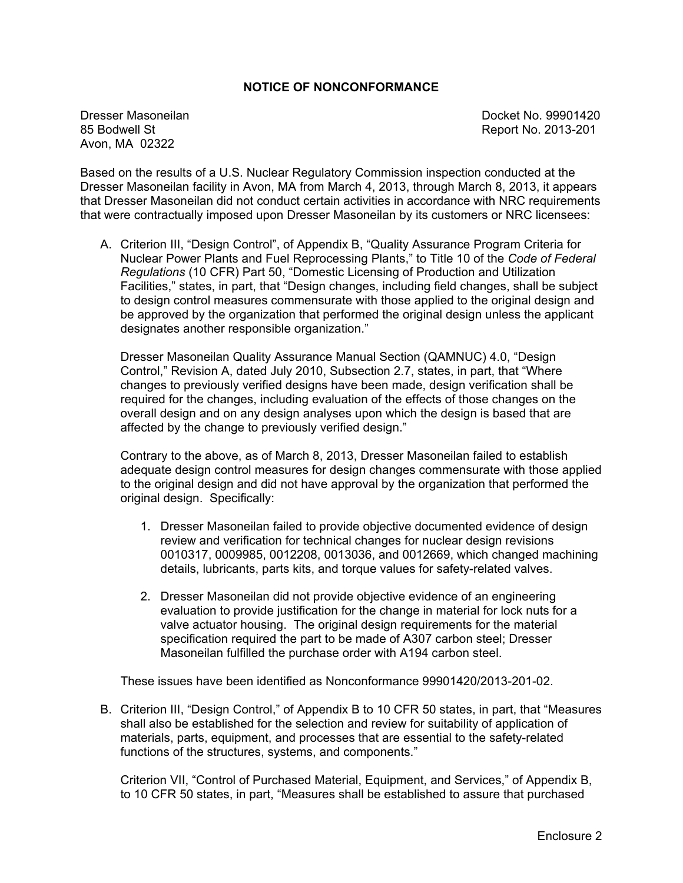#### **NOTICE OF NONCONFORMANCE**

Avon, MA 02322

Dresser Masoneilan and Docket No. 99901420<br>
85 Bodwell St and Docket No. 2013-201 Report No. 2013-201

Based on the results of a U.S. Nuclear Regulatory Commission inspection conducted at the Dresser Masoneilan facility in Avon, MA from March 4, 2013, through March 8, 2013, it appears that Dresser Masoneilan did not conduct certain activities in accordance with NRC requirements that were contractually imposed upon Dresser Masoneilan by its customers or NRC licensees:

A. Criterion III, "Design Control", of Appendix B, "Quality Assurance Program Criteria for Nuclear Power Plants and Fuel Reprocessing Plants," to Title 10 of the *Code of Federal Regulations* (10 CFR) Part 50, "Domestic Licensing of Production and Utilization Facilities," states, in part, that "Design changes, including field changes, shall be subject to design control measures commensurate with those applied to the original design and be approved by the organization that performed the original design unless the applicant designates another responsible organization."

Dresser Masoneilan Quality Assurance Manual Section (QAMNUC) 4.0, "Design Control," Revision A, dated July 2010, Subsection 2.7, states, in part, that "Where changes to previously verified designs have been made, design verification shall be required for the changes, including evaluation of the effects of those changes on the overall design and on any design analyses upon which the design is based that are affected by the change to previously verified design."

Contrary to the above, as of March 8, 2013, Dresser Masoneilan failed to establish adequate design control measures for design changes commensurate with those applied to the original design and did not have approval by the organization that performed the original design. Specifically:

- 1. Dresser Masoneilan failed to provide objective documented evidence of design review and verification for technical changes for nuclear design revisions 0010317, 0009985, 0012208, 0013036, and 0012669, which changed machining details, lubricants, parts kits, and torque values for safety-related valves.
- 2. Dresser Masoneilan did not provide objective evidence of an engineering evaluation to provide justification for the change in material for lock nuts for a valve actuator housing. The original design requirements for the material specification required the part to be made of A307 carbon steel; Dresser Masoneilan fulfilled the purchase order with A194 carbon steel.

These issues have been identified as Nonconformance 99901420/2013-201-02.

B. Criterion III, "Design Control," of Appendix B to 10 CFR 50 states, in part, that "Measures shall also be established for the selection and review for suitability of application of materials, parts, equipment, and processes that are essential to the safety-related functions of the structures, systems, and components."

Criterion VII, "Control of Purchased Material, Equipment, and Services," of Appendix B, to 10 CFR 50 states, in part, "Measures shall be established to assure that purchased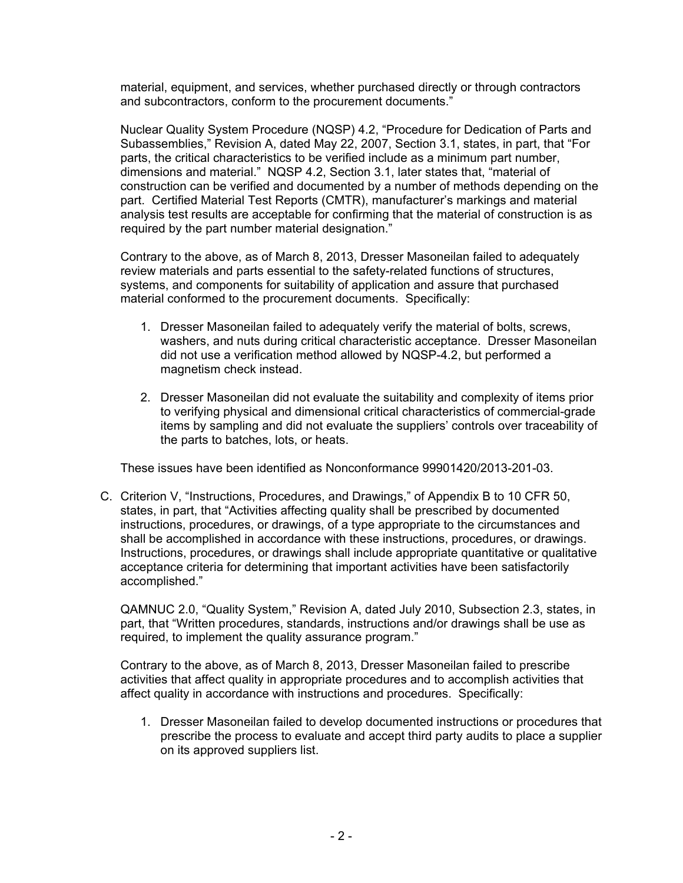material, equipment, and services, whether purchased directly or through contractors and subcontractors, conform to the procurement documents."

Nuclear Quality System Procedure (NQSP) 4.2, "Procedure for Dedication of Parts and Subassemblies," Revision A, dated May 22, 2007, Section 3.1, states, in part, that "For parts, the critical characteristics to be verified include as a minimum part number, dimensions and material." NQSP 4.2, Section 3.1, later states that, "material of construction can be verified and documented by a number of methods depending on the part. Certified Material Test Reports (CMTR), manufacturer's markings and material analysis test results are acceptable for confirming that the material of construction is as required by the part number material designation."

Contrary to the above, as of March 8, 2013, Dresser Masoneilan failed to adequately review materials and parts essential to the safety-related functions of structures, systems, and components for suitability of application and assure that purchased material conformed to the procurement documents. Specifically:

- 1. Dresser Masoneilan failed to adequately verify the material of bolts, screws, washers, and nuts during critical characteristic acceptance. Dresser Masoneilan did not use a verification method allowed by NQSP-4.2, but performed a magnetism check instead.
- 2. Dresser Masoneilan did not evaluate the suitability and complexity of items prior to verifying physical and dimensional critical characteristics of commercial-grade items by sampling and did not evaluate the suppliers' controls over traceability of the parts to batches, lots, or heats.

These issues have been identified as Nonconformance 99901420/2013-201-03.

C. Criterion V, "Instructions, Procedures, and Drawings," of Appendix B to 10 CFR 50, states, in part, that "Activities affecting quality shall be prescribed by documented instructions, procedures, or drawings, of a type appropriate to the circumstances and shall be accomplished in accordance with these instructions, procedures, or drawings. Instructions, procedures, or drawings shall include appropriate quantitative or qualitative acceptance criteria for determining that important activities have been satisfactorily accomplished."

QAMNUC 2.0, "Quality System," Revision A, dated July 2010, Subsection 2.3, states, in part, that "Written procedures, standards, instructions and/or drawings shall be use as required, to implement the quality assurance program."

Contrary to the above, as of March 8, 2013, Dresser Masoneilan failed to prescribe activities that affect quality in appropriate procedures and to accomplish activities that affect quality in accordance with instructions and procedures. Specifically:

1. Dresser Masoneilan failed to develop documented instructions or procedures that prescribe the process to evaluate and accept third party audits to place a supplier on its approved suppliers list.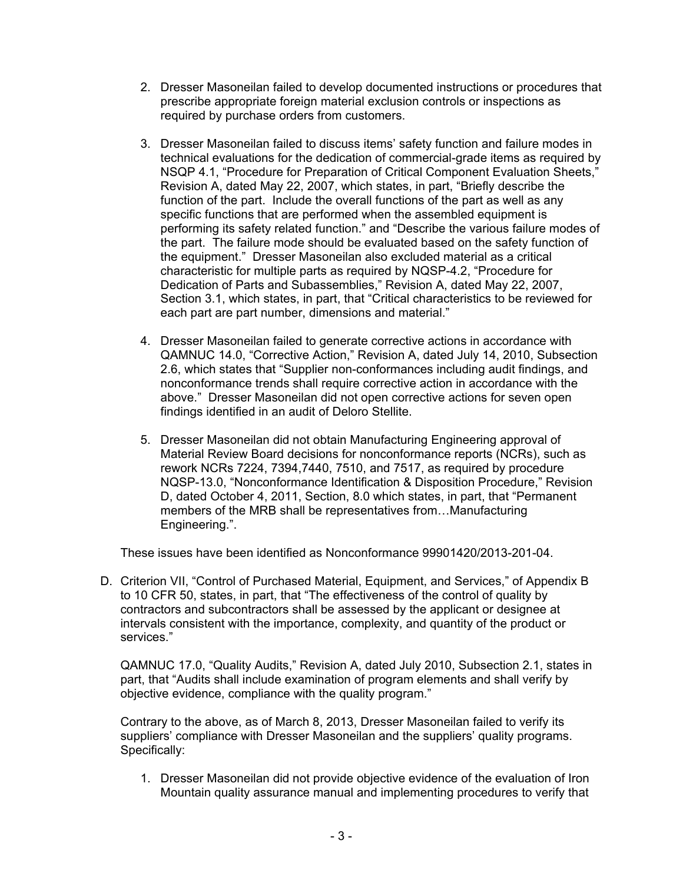- 2. Dresser Masoneilan failed to develop documented instructions or procedures that prescribe appropriate foreign material exclusion controls or inspections as required by purchase orders from customers.
- 3. Dresser Masoneilan failed to discuss items' safety function and failure modes in technical evaluations for the dedication of commercial-grade items as required by NSQP 4.1, "Procedure for Preparation of Critical Component Evaluation Sheets," Revision A, dated May 22, 2007, which states, in part, "Briefly describe the function of the part. Include the overall functions of the part as well as any specific functions that are performed when the assembled equipment is performing its safety related function." and "Describe the various failure modes of the part. The failure mode should be evaluated based on the safety function of the equipment." Dresser Masoneilan also excluded material as a critical characteristic for multiple parts as required by NQSP-4.2, "Procedure for Dedication of Parts and Subassemblies," Revision A, dated May 22, 2007, Section 3.1, which states, in part, that "Critical characteristics to be reviewed for each part are part number, dimensions and material."
- 4. Dresser Masoneilan failed to generate corrective actions in accordance with QAMNUC 14.0, "Corrective Action," Revision A, dated July 14, 2010, Subsection 2.6, which states that "Supplier non-conformances including audit findings, and nonconformance trends shall require corrective action in accordance with the above." Dresser Masoneilan did not open corrective actions for seven open findings identified in an audit of Deloro Stellite.
- 5. Dresser Masoneilan did not obtain Manufacturing Engineering approval of Material Review Board decisions for nonconformance reports (NCRs), such as rework NCRs 7224, 7394,7440, 7510, and 7517, as required by procedure NQSP-13.0, "Nonconformance Identification & Disposition Procedure," Revision D, dated October 4, 2011, Section, 8.0 which states, in part, that "Permanent members of the MRB shall be representatives from…Manufacturing Engineering.".

These issues have been identified as Nonconformance 99901420/2013-201-04.

D. Criterion VII, "Control of Purchased Material, Equipment, and Services," of Appendix B to 10 CFR 50, states, in part, that "The effectiveness of the control of quality by contractors and subcontractors shall be assessed by the applicant or designee at intervals consistent with the importance, complexity, and quantity of the product or services."

QAMNUC 17.0, "Quality Audits," Revision A, dated July 2010, Subsection 2.1, states in part, that "Audits shall include examination of program elements and shall verify by objective evidence, compliance with the quality program."

Contrary to the above, as of March 8, 2013, Dresser Masoneilan failed to verify its suppliers' compliance with Dresser Masoneilan and the suppliers' quality programs. Specifically:

1. Dresser Masoneilan did not provide objective evidence of the evaluation of Iron Mountain quality assurance manual and implementing procedures to verify that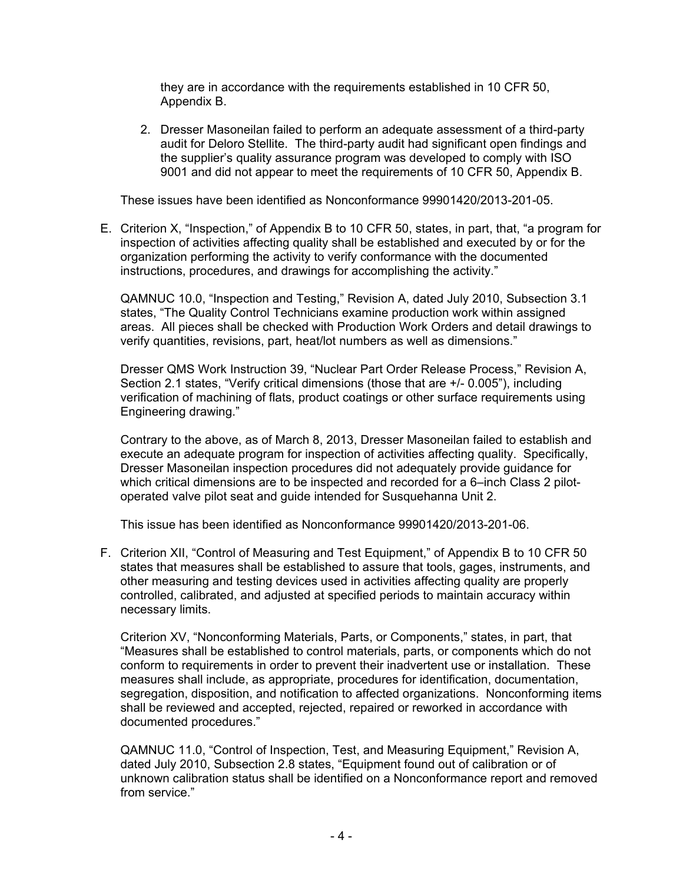they are in accordance with the requirements established in 10 CFR 50, Appendix B.

2. Dresser Masoneilan failed to perform an adequate assessment of a third-party audit for Deloro Stellite. The third-party audit had significant open findings and the supplier's quality assurance program was developed to comply with ISO 9001 and did not appear to meet the requirements of 10 CFR 50, Appendix B.

These issues have been identified as Nonconformance 99901420/2013-201-05.

E. Criterion X, "Inspection," of Appendix B to 10 CFR 50, states, in part, that, "a program for inspection of activities affecting quality shall be established and executed by or for the organization performing the activity to verify conformance with the documented instructions, procedures, and drawings for accomplishing the activity."

QAMNUC 10.0, "Inspection and Testing," Revision A, dated July 2010, Subsection 3.1 states, "The Quality Control Technicians examine production work within assigned areas. All pieces shall be checked with Production Work Orders and detail drawings to verify quantities, revisions, part, heat/lot numbers as well as dimensions."

Dresser QMS Work Instruction 39, "Nuclear Part Order Release Process," Revision A, Section 2.1 states, "Verify critical dimensions (those that are +/- 0.005"), including verification of machining of flats, product coatings or other surface requirements using Engineering drawing."

Contrary to the above, as of March 8, 2013, Dresser Masoneilan failed to establish and execute an adequate program for inspection of activities affecting quality. Specifically, Dresser Masoneilan inspection procedures did not adequately provide guidance for which critical dimensions are to be inspected and recorded for a 6-inch Class 2 pilotoperated valve pilot seat and guide intended for Susquehanna Unit 2.

This issue has been identified as Nonconformance 99901420/2013-201-06.

F. Criterion XII, "Control of Measuring and Test Equipment," of Appendix B to 10 CFR 50 states that measures shall be established to assure that tools, gages, instruments, and other measuring and testing devices used in activities affecting quality are properly controlled, calibrated, and adjusted at specified periods to maintain accuracy within necessary limits.

Criterion XV, "Nonconforming Materials, Parts, or Components," states, in part, that "Measures shall be established to control materials, parts, or components which do not conform to requirements in order to prevent their inadvertent use or installation. These measures shall include, as appropriate, procedures for identification, documentation, segregation, disposition, and notification to affected organizations. Nonconforming items shall be reviewed and accepted, rejected, repaired or reworked in accordance with documented procedures."

QAMNUC 11.0, "Control of Inspection, Test, and Measuring Equipment," Revision A, dated July 2010, Subsection 2.8 states, "Equipment found out of calibration or of unknown calibration status shall be identified on a Nonconformance report and removed from service."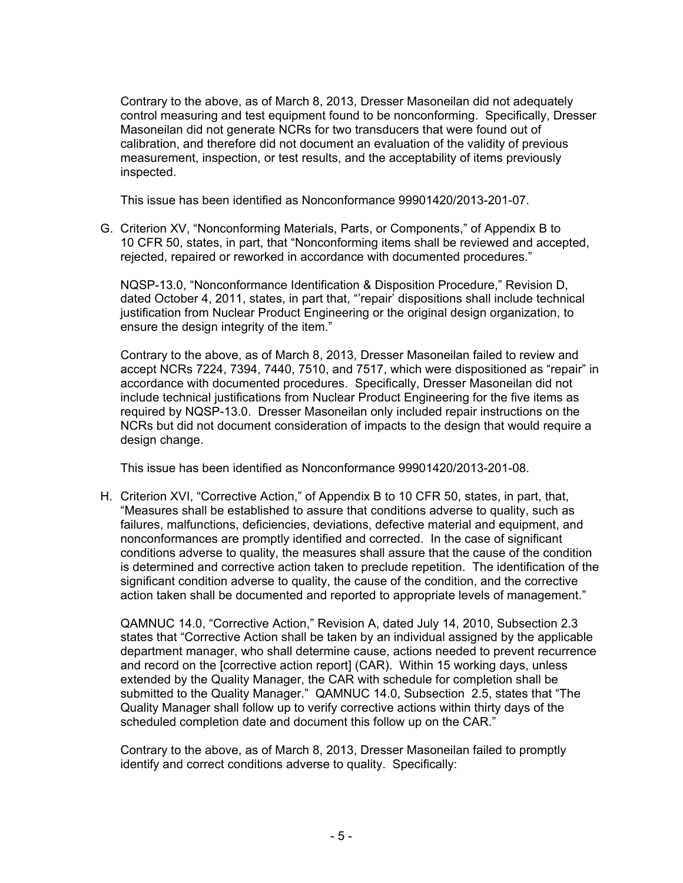Contrary to the above, as of March 8, 2013, Dresser Masoneilan did not adequately control measuring and test equipment found to be nonconforming. Specifically, Dresser Masoneilan did not generate NCRs for two transducers that were found out of calibration, and therefore did not document an evaluation of the validity of previous measurement, inspection, or test results, and the acceptability of items previously inspected.

This issue has been identified as Nonconformance 99901420/2013-201-07.

G. Criterion XV, "Nonconforming Materials, Parts, or Components," of Appendix B to 10 CFR 50, states, in part, that "Nonconforming items shall be reviewed and accepted, rejected, repaired or reworked in accordance with documented procedures."

NQSP-13.0, "Nonconformance Identification & Disposition Procedure," Revision D, dated October 4, 2011, states, in part that, "'repair' dispositions shall include technical justification from Nuclear Product Engineering or the original design organization, to ensure the design integrity of the item."

Contrary to the above, as of March 8, 2013, Dresser Masoneilan failed to review and accept NCRs 7224, 7394, 7440, 7510, and 7517, which were dispositioned as "repair" in accordance with documented procedures. Specifically, Dresser Masoneilan did not include technical justifications from Nuclear Product Engineering for the five items as required by NQSP-13.0. Dresser Masoneilan only included repair instructions on the NCRs but did not document consideration of impacts to the design that would require a design change.

This issue has been identified as Nonconformance 99901420/2013-201-08.

H. Criterion XVI, "Corrective Action," of Appendix B to 10 CFR 50, states, in part, that, "Measures shall be established to assure that conditions adverse to quality, such as failures, malfunctions, deficiencies, deviations, defective material and equipment, and nonconformances are promptly identified and corrected. In the case of significant conditions adverse to quality, the measures shall assure that the cause of the condition is determined and corrective action taken to preclude repetition. The identification of the significant condition adverse to quality, the cause of the condition, and the corrective action taken shall be documented and reported to appropriate levels of management."

QAMNUC 14.0, "Corrective Action," Revision A, dated July 14, 2010, Subsection 2.3 states that "Corrective Action shall be taken by an individual assigned by the applicable department manager, who shall determine cause, actions needed to prevent recurrence and record on the [corrective action report] (CAR). Within 15 working days, unless extended by the Quality Manager, the CAR with schedule for completion shall be submitted to the Quality Manager." QAMNUC 14.0, Subsection 2.5, states that "The Quality Manager shall follow up to verify corrective actions within thirty days of the scheduled completion date and document this follow up on the CAR."

Contrary to the above, as of March 8, 2013, Dresser Masoneilan failed to promptly identify and correct conditions adverse to quality. Specifically: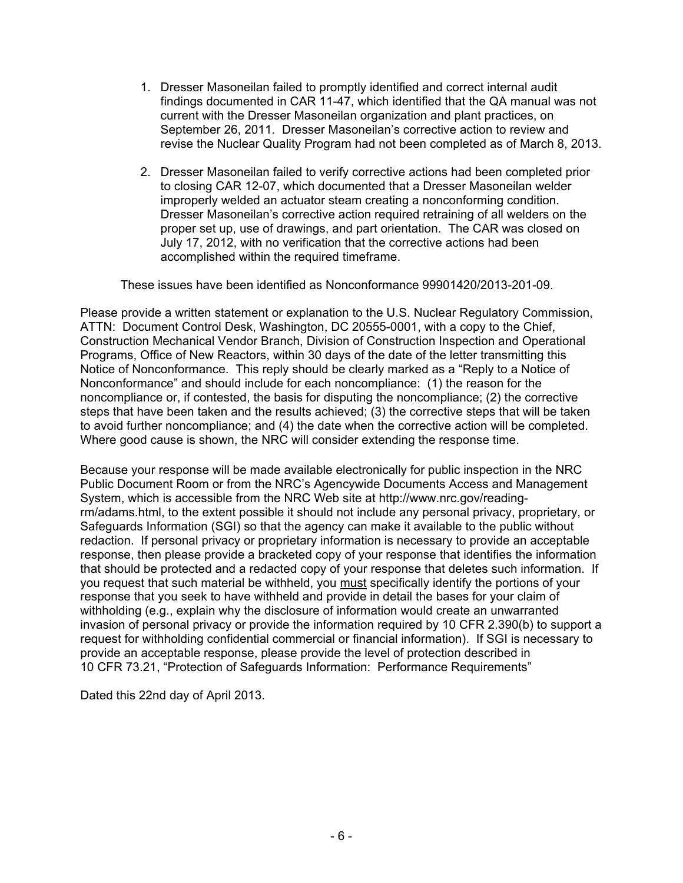- 1. Dresser Masoneilan failed to promptly identified and correct internal audit findings documented in CAR 11-47, which identified that the QA manual was not current with the Dresser Masoneilan organization and plant practices, on September 26, 2011. Dresser Masoneilan's corrective action to review and revise the Nuclear Quality Program had not been completed as of March 8, 2013.
- 2. Dresser Masoneilan failed to verify corrective actions had been completed prior to closing CAR 12-07, which documented that a Dresser Masoneilan welder improperly welded an actuator steam creating a nonconforming condition. Dresser Masoneilan's corrective action required retraining of all welders on the proper set up, use of drawings, and part orientation. The CAR was closed on July 17, 2012, with no verification that the corrective actions had been accomplished within the required timeframe.

These issues have been identified as Nonconformance 99901420/2013-201-09.

Please provide a written statement or explanation to the U.S. Nuclear Regulatory Commission, ATTN: Document Control Desk, Washington, DC 20555-0001, with a copy to the Chief, Construction Mechanical Vendor Branch, Division of Construction Inspection and Operational Programs, Office of New Reactors, within 30 days of the date of the letter transmitting this Notice of Nonconformance. This reply should be clearly marked as a "Reply to a Notice of Nonconformance" and should include for each noncompliance: (1) the reason for the noncompliance or, if contested, the basis for disputing the noncompliance; (2) the corrective steps that have been taken and the results achieved; (3) the corrective steps that will be taken to avoid further noncompliance; and (4) the date when the corrective action will be completed. Where good cause is shown, the NRC will consider extending the response time.

Because your response will be made available electronically for public inspection in the NRC Public Document Room or from the NRC's Agencywide Documents Access and Management System, which is accessible from the NRC Web site at http://www.nrc.gov/readingrm/adams.html, to the extent possible it should not include any personal privacy, proprietary, or Safeguards Information (SGI) so that the agency can make it available to the public without redaction. If personal privacy or proprietary information is necessary to provide an acceptable response, then please provide a bracketed copy of your response that identifies the information that should be protected and a redacted copy of your response that deletes such information. If you request that such material be withheld, you must specifically identify the portions of your response that you seek to have withheld and provide in detail the bases for your claim of withholding (e.g., explain why the disclosure of information would create an unwarranted invasion of personal privacy or provide the information required by 10 CFR 2.390(b) to support a request for withholding confidential commercial or financial information). If SGI is necessary to provide an acceptable response, please provide the level of protection described in 10 CFR 73.21, "Protection of Safeguards Information: Performance Requirements"

Dated this 22nd day of April 2013.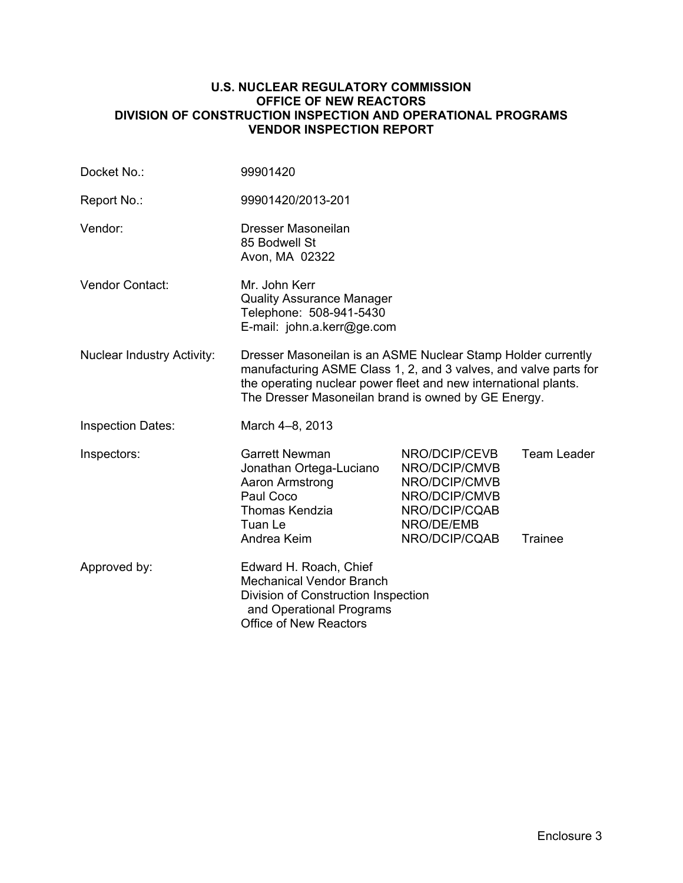#### **U.S. NUCLEAR REGULATORY COMMISSION OFFICE OF NEW REACTORS DIVISION OF CONSTRUCTION INSPECTION AND OPERATIONAL PROGRAMS VENDOR INSPECTION REPORT**

| Docket No.:                       | 99901420                                                                                                                                                                                                                                                   |                                                                                                                  |                               |  |
|-----------------------------------|------------------------------------------------------------------------------------------------------------------------------------------------------------------------------------------------------------------------------------------------------------|------------------------------------------------------------------------------------------------------------------|-------------------------------|--|
| Report No.:                       | 99901420/2013-201                                                                                                                                                                                                                                          |                                                                                                                  |                               |  |
| Vendor:                           | Dresser Masoneilan<br>85 Bodwell St<br>Avon, MA 02322                                                                                                                                                                                                      |                                                                                                                  |                               |  |
| Vendor Contact:                   | Mr. John Kerr<br><b>Quality Assurance Manager</b><br>Telephone: 508-941-5430<br>E-mail: john.a.kerr@ge.com                                                                                                                                                 |                                                                                                                  |                               |  |
| <b>Nuclear Industry Activity:</b> | Dresser Masoneilan is an ASME Nuclear Stamp Holder currently<br>manufacturing ASME Class 1, 2, and 3 valves, and valve parts for<br>the operating nuclear power fleet and new international plants.<br>The Dresser Masoneilan brand is owned by GE Energy. |                                                                                                                  |                               |  |
| <b>Inspection Dates:</b>          | March 4-8, 2013                                                                                                                                                                                                                                            |                                                                                                                  |                               |  |
| Inspectors:                       | <b>Garrett Newman</b><br>Jonathan Ortega-Luciano<br>Aaron Armstrong<br>Paul Coco<br>Thomas Kendzia<br>Tuan Le<br>Andrea Keim                                                                                                                               | NRO/DCIP/CEVB<br>NRO/DCIP/CMVB<br>NRO/DCIP/CMVB<br>NRO/DCIP/CMVB<br>NRO/DCIP/CQAB<br>NRO/DE/EMB<br>NRO/DCIP/CQAB | <b>Team Leader</b><br>Trainee |  |
| Approved by:                      | Edward H. Roach, Chief<br><b>Mechanical Vendor Branch</b><br>Division of Construction Inspection<br>and Operational Programs<br><b>Office of New Reactors</b>                                                                                              |                                                                                                                  |                               |  |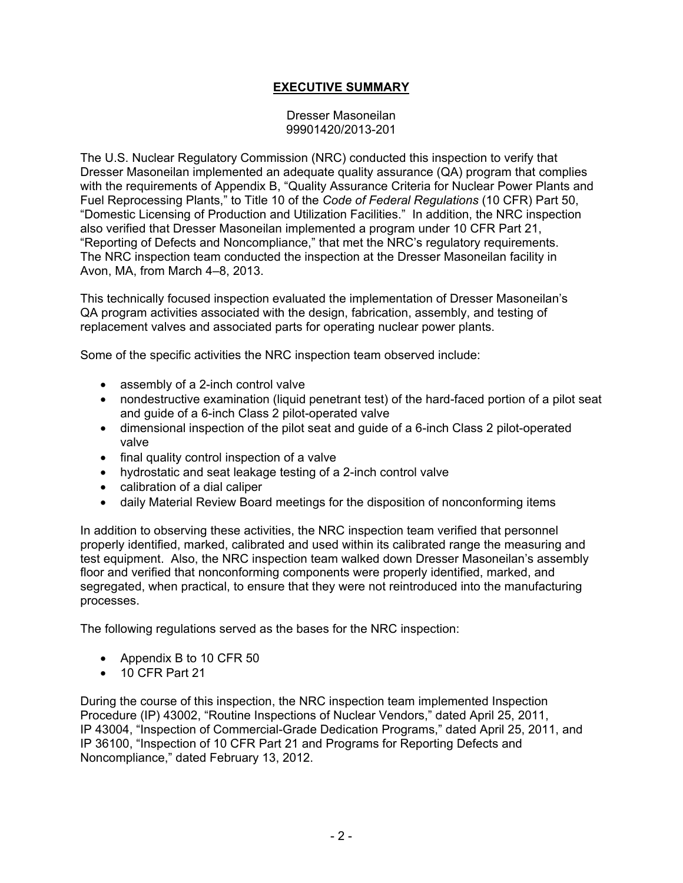### **EXECUTIVE SUMMARY**

Dresser Masoneilan 99901420/2013-201

The U.S. Nuclear Regulatory Commission (NRC) conducted this inspection to verify that Dresser Masoneilan implemented an adequate quality assurance (QA) program that complies with the requirements of Appendix B, "Quality Assurance Criteria for Nuclear Power Plants and Fuel Reprocessing Plants," to Title 10 of the *Code of Federal Regulations* (10 CFR) Part 50, "Domestic Licensing of Production and Utilization Facilities." In addition, the NRC inspection also verified that Dresser Masoneilan implemented a program under 10 CFR Part 21, "Reporting of Defects and Noncompliance," that met the NRC's regulatory requirements. The NRC inspection team conducted the inspection at the Dresser Masoneilan facility in Avon, MA, from March 4–8, 2013.

This technically focused inspection evaluated the implementation of Dresser Masoneilan's QA program activities associated with the design, fabrication, assembly, and testing of replacement valves and associated parts for operating nuclear power plants.

Some of the specific activities the NRC inspection team observed include:

- assembly of a 2-inch control valve
- nondestructive examination (liquid penetrant test) of the hard-faced portion of a pilot seat and guide of a 6-inch Class 2 pilot-operated valve
- dimensional inspection of the pilot seat and guide of a 6-inch Class 2 pilot-operated valve
- final quality control inspection of a valve
- hydrostatic and seat leakage testing of a 2-inch control valve
- calibration of a dial caliper
- daily Material Review Board meetings for the disposition of nonconforming items

In addition to observing these activities, the NRC inspection team verified that personnel properly identified, marked, calibrated and used within its calibrated range the measuring and test equipment. Also, the NRC inspection team walked down Dresser Masoneilan's assembly floor and verified that nonconforming components were properly identified, marked, and segregated, when practical, to ensure that they were not reintroduced into the manufacturing processes.

The following regulations served as the bases for the NRC inspection:

- Appendix B to 10 CFR 50
- 10 CFR Part 21

During the course of this inspection, the NRC inspection team implemented Inspection Procedure (IP) 43002, "Routine Inspections of Nuclear Vendors," dated April 25, 2011, IP 43004, "Inspection of Commercial-Grade Dedication Programs," dated April 25, 2011, and IP 36100, "Inspection of 10 CFR Part 21 and Programs for Reporting Defects and Noncompliance," dated February 13, 2012.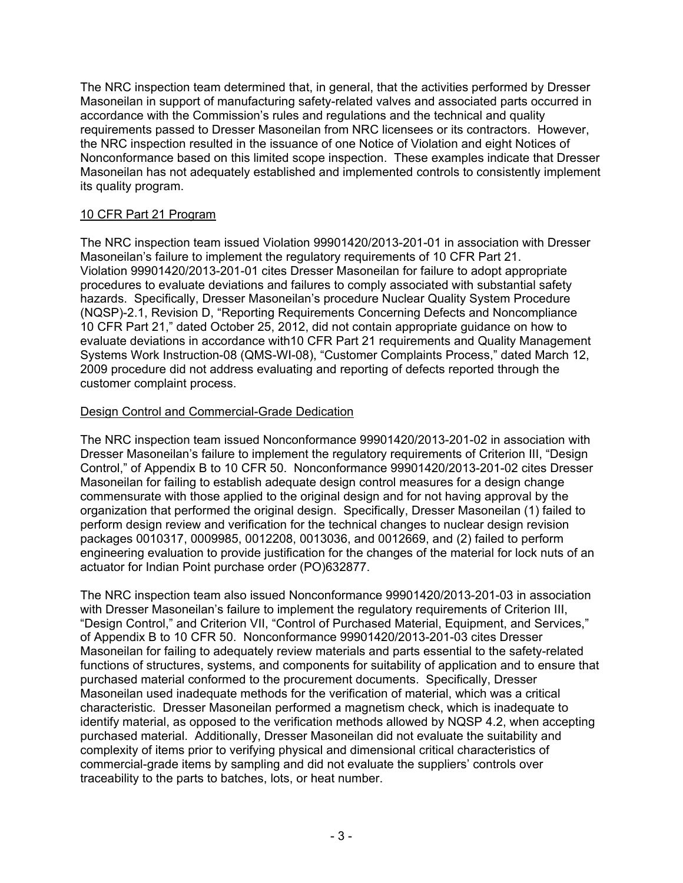The NRC inspection team determined that, in general, that the activities performed by Dresser Masoneilan in support of manufacturing safety-related valves and associated parts occurred in accordance with the Commission's rules and regulations and the technical and quality requirements passed to Dresser Masoneilan from NRC licensees or its contractors. However, the NRC inspection resulted in the issuance of one Notice of Violation and eight Notices of Nonconformance based on this limited scope inspection. These examples indicate that Dresser Masoneilan has not adequately established and implemented controls to consistently implement its quality program.

### 10 CFR Part 21 Program

The NRC inspection team issued Violation 99901420/2013-201-01 in association with Dresser Masoneilan's failure to implement the regulatory requirements of 10 CFR Part 21. Violation 99901420/2013-201-01 cites Dresser Masoneilan for failure to adopt appropriate procedures to evaluate deviations and failures to comply associated with substantial safety hazards. Specifically, Dresser Masoneilan's procedure Nuclear Quality System Procedure (NQSP)-2.1, Revision D, "Reporting Requirements Concerning Defects and Noncompliance 10 CFR Part 21," dated October 25, 2012, did not contain appropriate guidance on how to evaluate deviations in accordance with10 CFR Part 21 requirements and Quality Management Systems Work Instruction-08 (QMS-WI-08), "Customer Complaints Process," dated March 12, 2009 procedure did not address evaluating and reporting of defects reported through the customer complaint process.

#### Design Control and Commercial-Grade Dedication

The NRC inspection team issued Nonconformance 99901420/2013-201-02 in association with Dresser Masoneilan's failure to implement the regulatory requirements of Criterion III, "Design Control," of Appendix B to 10 CFR 50. Nonconformance 99901420/2013-201-02 cites Dresser Masoneilan for failing to establish adequate design control measures for a design change commensurate with those applied to the original design and for not having approval by the organization that performed the original design. Specifically, Dresser Masoneilan (1) failed to perform design review and verification for the technical changes to nuclear design revision packages 0010317, 0009985, 0012208, 0013036, and 0012669, and (2) failed to perform engineering evaluation to provide justification for the changes of the material for lock nuts of an actuator for Indian Point purchase order (PO)632877.

The NRC inspection team also issued Nonconformance 99901420/2013-201-03 in association with Dresser Masoneilan's failure to implement the regulatory requirements of Criterion III, "Design Control," and Criterion VII, "Control of Purchased Material, Equipment, and Services," of Appendix B to 10 CFR 50. Nonconformance 99901420/2013-201-03 cites Dresser Masoneilan for failing to adequately review materials and parts essential to the safety-related functions of structures, systems, and components for suitability of application and to ensure that purchased material conformed to the procurement documents. Specifically, Dresser Masoneilan used inadequate methods for the verification of material, which was a critical characteristic. Dresser Masoneilan performed a magnetism check, which is inadequate to identify material, as opposed to the verification methods allowed by NQSP 4.2, when accepting purchased material. Additionally, Dresser Masoneilan did not evaluate the suitability and complexity of items prior to verifying physical and dimensional critical characteristics of commercial-grade items by sampling and did not evaluate the suppliers' controls over traceability to the parts to batches, lots, or heat number.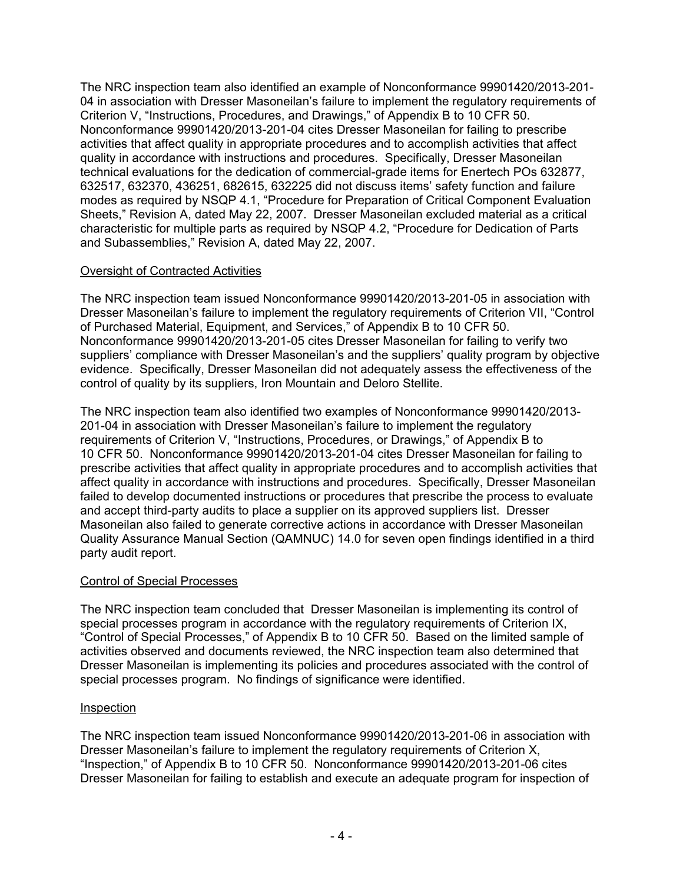The NRC inspection team also identified an example of Nonconformance 99901420/2013-201- 04 in association with Dresser Masoneilan's failure to implement the regulatory requirements of Criterion V, "Instructions, Procedures, and Drawings," of Appendix B to 10 CFR 50. Nonconformance 99901420/2013-201-04 cites Dresser Masoneilan for failing to prescribe activities that affect quality in appropriate procedures and to accomplish activities that affect quality in accordance with instructions and procedures. Specifically, Dresser Masoneilan technical evaluations for the dedication of commercial-grade items for Enertech POs 632877, 632517, 632370, 436251, 682615, 632225 did not discuss items' safety function and failure modes as required by NSQP 4.1, "Procedure for Preparation of Critical Component Evaluation Sheets," Revision A, dated May 22, 2007. Dresser Masoneilan excluded material as a critical characteristic for multiple parts as required by NSQP 4.2, "Procedure for Dedication of Parts and Subassemblies," Revision A, dated May 22, 2007.

### Oversight of Contracted Activities

The NRC inspection team issued Nonconformance 99901420/2013-201-05 in association with Dresser Masoneilan's failure to implement the regulatory requirements of Criterion VII, "Control of Purchased Material, Equipment, and Services," of Appendix B to 10 CFR 50. Nonconformance 99901420/2013-201-05 cites Dresser Masoneilan for failing to verify two suppliers' compliance with Dresser Masoneilan's and the suppliers' quality program by objective evidence. Specifically, Dresser Masoneilan did not adequately assess the effectiveness of the control of quality by its suppliers, Iron Mountain and Deloro Stellite.

The NRC inspection team also identified two examples of Nonconformance 99901420/2013- 201-04 in association with Dresser Masoneilan's failure to implement the regulatory requirements of Criterion V, "Instructions, Procedures, or Drawings," of Appendix B to 10 CFR 50. Nonconformance 99901420/2013-201-04 cites Dresser Masoneilan for failing to prescribe activities that affect quality in appropriate procedures and to accomplish activities that affect quality in accordance with instructions and procedures. Specifically, Dresser Masoneilan failed to develop documented instructions or procedures that prescribe the process to evaluate and accept third-party audits to place a supplier on its approved suppliers list. Dresser Masoneilan also failed to generate corrective actions in accordance with Dresser Masoneilan Quality Assurance Manual Section (QAMNUC) 14.0 for seven open findings identified in a third party audit report.

#### Control of Special Processes

The NRC inspection team concluded that Dresser Masoneilan is implementing its control of special processes program in accordance with the regulatory requirements of Criterion IX, "Control of Special Processes," of Appendix B to 10 CFR 50. Based on the limited sample of activities observed and documents reviewed, the NRC inspection team also determined that Dresser Masoneilan is implementing its policies and procedures associated with the control of special processes program. No findings of significance were identified.

#### Inspection

The NRC inspection team issued Nonconformance 99901420/2013-201-06 in association with Dresser Masoneilan's failure to implement the regulatory requirements of Criterion X, "Inspection," of Appendix B to 10 CFR 50. Nonconformance 99901420/2013-201-06 cites Dresser Masoneilan for failing to establish and execute an adequate program for inspection of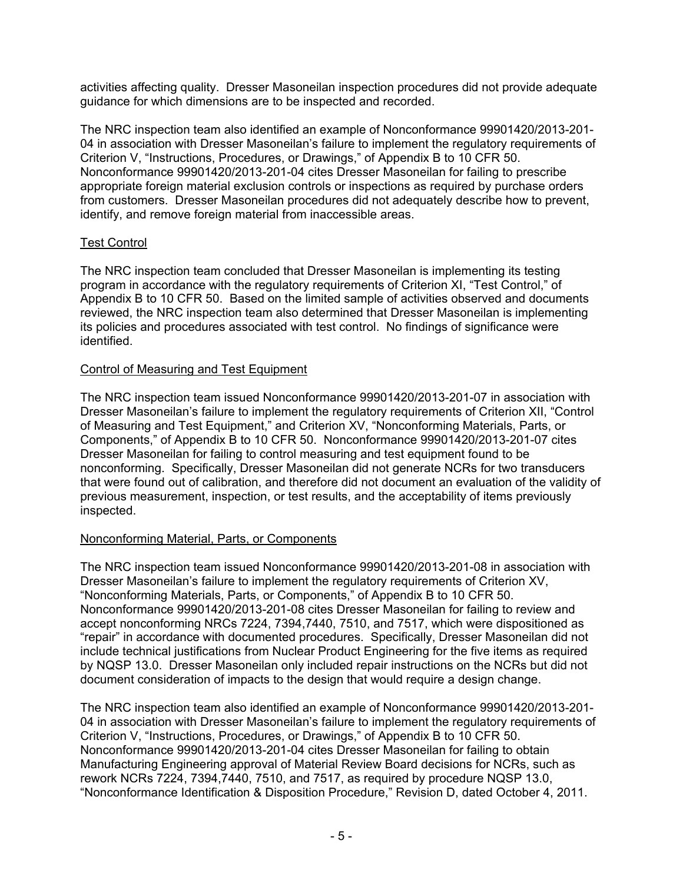activities affecting quality. Dresser Masoneilan inspection procedures did not provide adequate guidance for which dimensions are to be inspected and recorded.

The NRC inspection team also identified an example of Nonconformance 99901420/2013-201- 04 in association with Dresser Masoneilan's failure to implement the regulatory requirements of Criterion V, "Instructions, Procedures, or Drawings," of Appendix B to 10 CFR 50. Nonconformance 99901420/2013-201-04 cites Dresser Masoneilan for failing to prescribe appropriate foreign material exclusion controls or inspections as required by purchase orders from customers. Dresser Masoneilan procedures did not adequately describe how to prevent, identify, and remove foreign material from inaccessible areas.

### Test Control

The NRC inspection team concluded that Dresser Masoneilan is implementing its testing program in accordance with the regulatory requirements of Criterion XI, "Test Control," of Appendix B to 10 CFR 50. Based on the limited sample of activities observed and documents reviewed, the NRC inspection team also determined that Dresser Masoneilan is implementing its policies and procedures associated with test control. No findings of significance were identified.

#### Control of Measuring and Test Equipment

The NRC inspection team issued Nonconformance 99901420/2013-201-07 in association with Dresser Masoneilan's failure to implement the regulatory requirements of Criterion XII, "Control of Measuring and Test Equipment," and Criterion XV, "Nonconforming Materials, Parts, or Components," of Appendix B to 10 CFR 50. Nonconformance 99901420/2013-201-07 cites Dresser Masoneilan for failing to control measuring and test equipment found to be nonconforming. Specifically, Dresser Masoneilan did not generate NCRs for two transducers that were found out of calibration, and therefore did not document an evaluation of the validity of previous measurement, inspection, or test results, and the acceptability of items previously inspected.

#### Nonconforming Material, Parts, or Components

The NRC inspection team issued Nonconformance 99901420/2013-201-08 in association with Dresser Masoneilan's failure to implement the regulatory requirements of Criterion XV, "Nonconforming Materials, Parts, or Components," of Appendix B to 10 CFR 50. Nonconformance 99901420/2013-201-08 cites Dresser Masoneilan for failing to review and accept nonconforming NRCs 7224, 7394,7440, 7510, and 7517, which were dispositioned as "repair" in accordance with documented procedures. Specifically, Dresser Masoneilan did not include technical justifications from Nuclear Product Engineering for the five items as required by NQSP 13.0. Dresser Masoneilan only included repair instructions on the NCRs but did not document consideration of impacts to the design that would require a design change.

The NRC inspection team also identified an example of Nonconformance 99901420/2013-201- 04 in association with Dresser Masoneilan's failure to implement the regulatory requirements of Criterion V, "Instructions, Procedures, or Drawings," of Appendix B to 10 CFR 50. Nonconformance 99901420/2013-201-04 cites Dresser Masoneilan for failing to obtain Manufacturing Engineering approval of Material Review Board decisions for NCRs, such as rework NCRs 7224, 7394,7440, 7510, and 7517, as required by procedure NQSP 13.0, "Nonconformance Identification & Disposition Procedure," Revision D, dated October 4, 2011.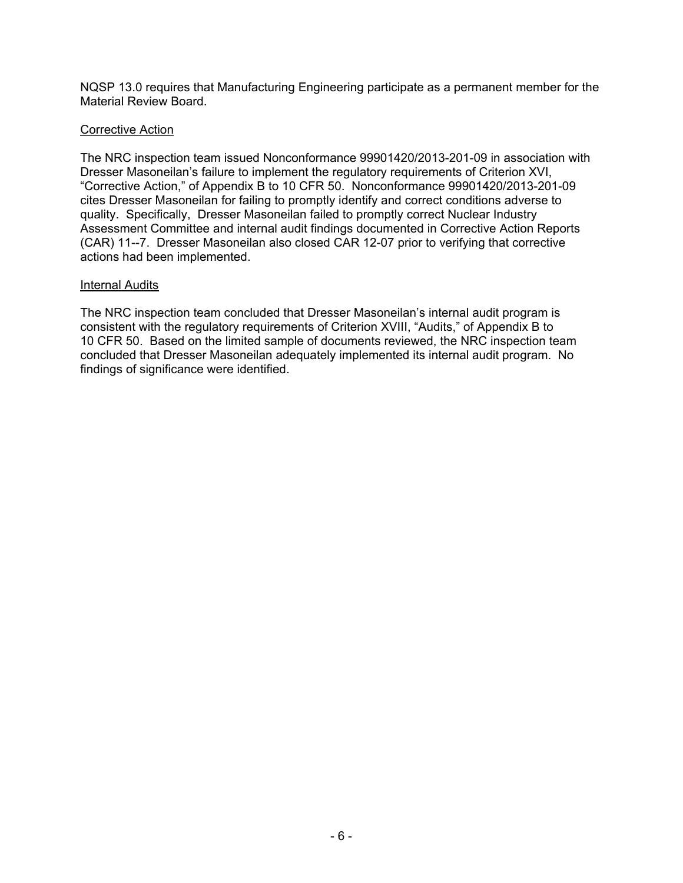NQSP 13.0 requires that Manufacturing Engineering participate as a permanent member for the Material Review Board.

#### Corrective Action

The NRC inspection team issued Nonconformance 99901420/2013-201-09 in association with Dresser Masoneilan's failure to implement the regulatory requirements of Criterion XVI, "Corrective Action," of Appendix B to 10 CFR 50. Nonconformance 99901420/2013-201-09 cites Dresser Masoneilan for failing to promptly identify and correct conditions adverse to quality. Specifically, Dresser Masoneilan failed to promptly correct Nuclear Industry Assessment Committee and internal audit findings documented in Corrective Action Reports (CAR) 11--7. Dresser Masoneilan also closed CAR 12-07 prior to verifying that corrective actions had been implemented.

#### Internal Audits

The NRC inspection team concluded that Dresser Masoneilan's internal audit program is consistent with the regulatory requirements of Criterion XVIII, "Audits," of Appendix B to 10 CFR 50. Based on the limited sample of documents reviewed, the NRC inspection team concluded that Dresser Masoneilan adequately implemented its internal audit program. No findings of significance were identified.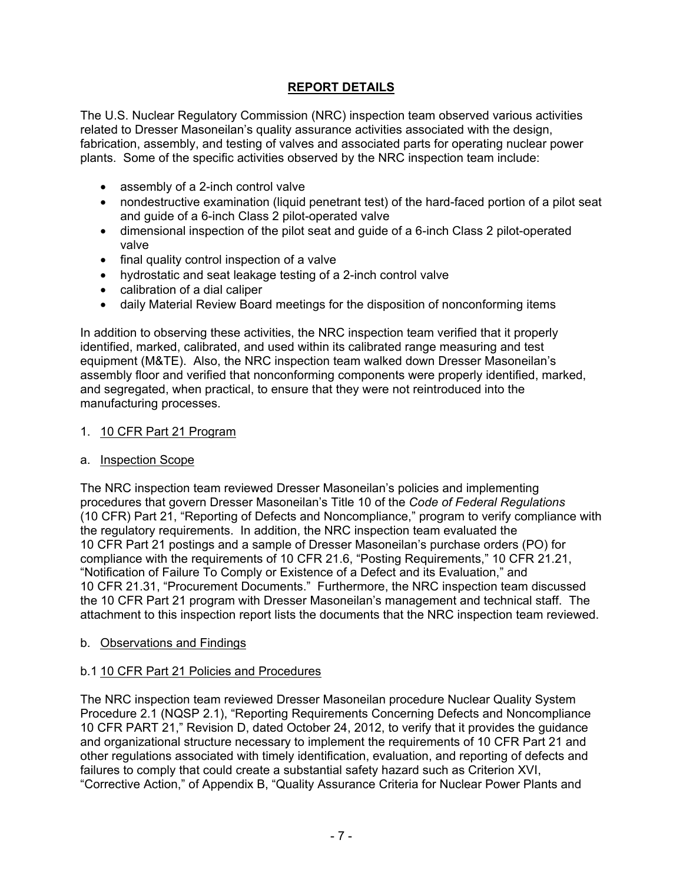## **REPORT DETAILS**

The U.S. Nuclear Regulatory Commission (NRC) inspection team observed various activities related to Dresser Masoneilan's quality assurance activities associated with the design, fabrication, assembly, and testing of valves and associated parts for operating nuclear power plants. Some of the specific activities observed by the NRC inspection team include:

- assembly of a 2-inch control valve
- nondestructive examination (liquid penetrant test) of the hard-faced portion of a pilot seat and guide of a 6-inch Class 2 pilot-operated valve
- dimensional inspection of the pilot seat and guide of a 6-inch Class 2 pilot-operated valve
- final quality control inspection of a valve
- hydrostatic and seat leakage testing of a 2-inch control valve
- calibration of a dial caliper
- daily Material Review Board meetings for the disposition of nonconforming items

In addition to observing these activities, the NRC inspection team verified that it properly identified, marked, calibrated, and used within its calibrated range measuring and test equipment (M&TE). Also, the NRC inspection team walked down Dresser Masoneilan's assembly floor and verified that nonconforming components were properly identified, marked, and segregated, when practical, to ensure that they were not reintroduced into the manufacturing processes.

#### 1. 10 CFR Part 21 Program

#### a. Inspection Scope

The NRC inspection team reviewed Dresser Masoneilan's policies and implementing procedures that govern Dresser Masoneilan's Title 10 of the *Code of Federal Regulations* (10 CFR) Part 21, "Reporting of Defects and Noncompliance," program to verify compliance with the regulatory requirements. In addition, the NRC inspection team evaluated the 10 CFR Part 21 postings and a sample of Dresser Masoneilan's purchase orders (PO) for compliance with the requirements of 10 CFR 21.6, "Posting Requirements," 10 CFR 21.21, "Notification of Failure To Comply or Existence of a Defect and its Evaluation," and 10 CFR 21.31, "Procurement Documents." Furthermore, the NRC inspection team discussed the 10 CFR Part 21 program with Dresser Masoneilan's management and technical staff. The attachment to this inspection report lists the documents that the NRC inspection team reviewed.

#### b. Observations and Findings

#### b.1 10 CFR Part 21 Policies and Procedures

The NRC inspection team reviewed Dresser Masoneilan procedure Nuclear Quality System Procedure 2.1 (NQSP 2.1), "Reporting Requirements Concerning Defects and Noncompliance 10 CFR PART 21," Revision D, dated October 24, 2012, to verify that it provides the guidance and organizational structure necessary to implement the requirements of 10 CFR Part 21 and other regulations associated with timely identification, evaluation, and reporting of defects and failures to comply that could create a substantial safety hazard such as Criterion XVI, "Corrective Action," of Appendix B, "Quality Assurance Criteria for Nuclear Power Plants and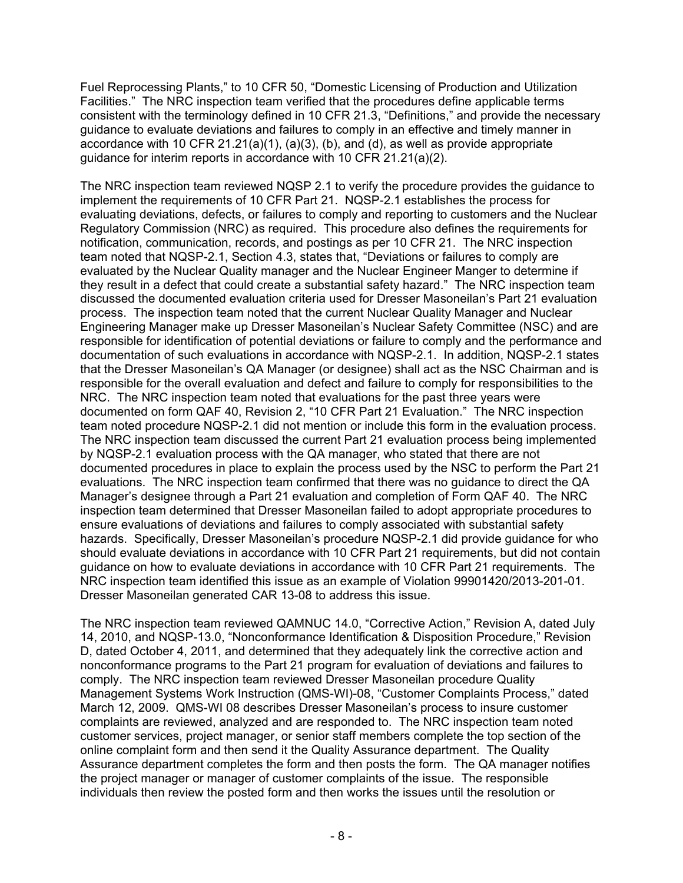Fuel Reprocessing Plants," to 10 CFR 50, "Domestic Licensing of Production and Utilization Facilities." The NRC inspection team verified that the procedures define applicable terms consistent with the terminology defined in 10 CFR 21.3, "Definitions," and provide the necessary guidance to evaluate deviations and failures to comply in an effective and timely manner in accordance with 10 CFR  $21.21(a)(1)$ ,  $(a)(3)$ ,  $(b)$ , and  $(d)$ , as well as provide appropriate guidance for interim reports in accordance with 10 CFR 21.21(a)(2).

The NRC inspection team reviewed NQSP 2.1 to verify the procedure provides the guidance to implement the requirements of 10 CFR Part 21. NQSP-2.1 establishes the process for evaluating deviations, defects, or failures to comply and reporting to customers and the Nuclear Regulatory Commission (NRC) as required. This procedure also defines the requirements for notification, communication, records, and postings as per 10 CFR 21. The NRC inspection team noted that NQSP-2.1, Section 4.3, states that, "Deviations or failures to comply are evaluated by the Nuclear Quality manager and the Nuclear Engineer Manger to determine if they result in a defect that could create a substantial safety hazard." The NRC inspection team discussed the documented evaluation criteria used for Dresser Masoneilan's Part 21 evaluation process. The inspection team noted that the current Nuclear Quality Manager and Nuclear Engineering Manager make up Dresser Masoneilan's Nuclear Safety Committee (NSC) and are responsible for identification of potential deviations or failure to comply and the performance and documentation of such evaluations in accordance with NQSP-2.1. In addition, NQSP-2.1 states that the Dresser Masoneilan's QA Manager (or designee) shall act as the NSC Chairman and is responsible for the overall evaluation and defect and failure to comply for responsibilities to the NRC. The NRC inspection team noted that evaluations for the past three years were documented on form QAF 40, Revision 2, "10 CFR Part 21 Evaluation." The NRC inspection team noted procedure NQSP-2.1 did not mention or include this form in the evaluation process. The NRC inspection team discussed the current Part 21 evaluation process being implemented by NQSP-2.1 evaluation process with the QA manager, who stated that there are not documented procedures in place to explain the process used by the NSC to perform the Part 21 evaluations. The NRC inspection team confirmed that there was no guidance to direct the QA Manager's designee through a Part 21 evaluation and completion of Form QAF 40. The NRC inspection team determined that Dresser Masoneilan failed to adopt appropriate procedures to ensure evaluations of deviations and failures to comply associated with substantial safety hazards. Specifically, Dresser Masoneilan's procedure NQSP-2.1 did provide guidance for who should evaluate deviations in accordance with 10 CFR Part 21 requirements, but did not contain guidance on how to evaluate deviations in accordance with 10 CFR Part 21 requirements. The NRC inspection team identified this issue as an example of Violation 99901420/2013-201-01. Dresser Masoneilan generated CAR 13-08 to address this issue.

The NRC inspection team reviewed QAMNUC 14.0, "Corrective Action," Revision A, dated July 14, 2010, and NQSP-13.0, "Nonconformance Identification & Disposition Procedure," Revision D, dated October 4, 2011, and determined that they adequately link the corrective action and nonconformance programs to the Part 21 program for evaluation of deviations and failures to comply. The NRC inspection team reviewed Dresser Masoneilan procedure Quality Management Systems Work Instruction (QMS-WI)-08, "Customer Complaints Process," dated March 12, 2009. QMS-WI 08 describes Dresser Masoneilan's process to insure customer complaints are reviewed, analyzed and are responded to. The NRC inspection team noted customer services, project manager, or senior staff members complete the top section of the online complaint form and then send it the Quality Assurance department. The Quality Assurance department completes the form and then posts the form. The QA manager notifies the project manager or manager of customer complaints of the issue. The responsible individuals then review the posted form and then works the issues until the resolution or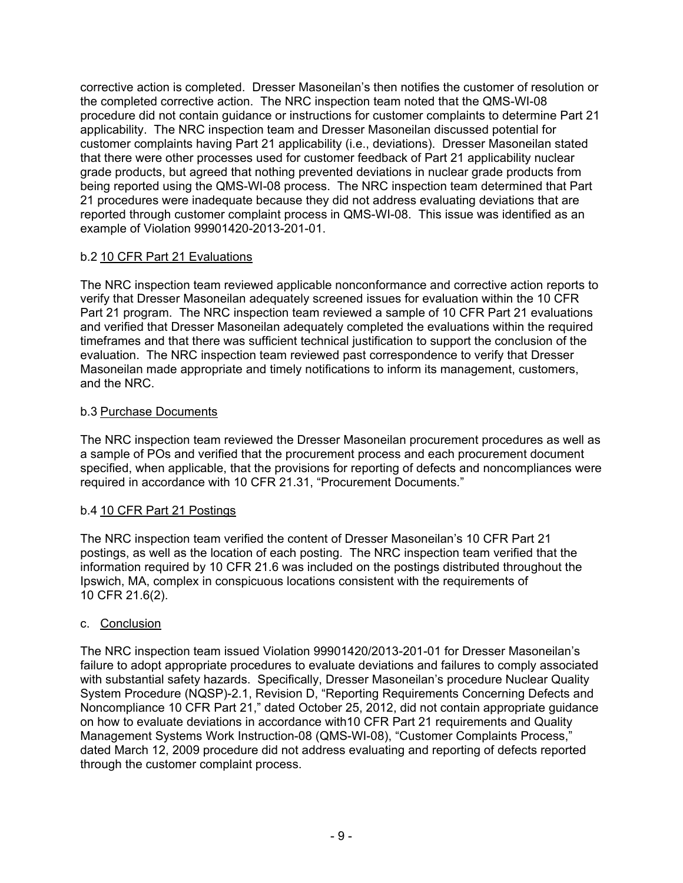corrective action is completed. Dresser Masoneilan's then notifies the customer of resolution or the completed corrective action. The NRC inspection team noted that the QMS-WI-08 procedure did not contain guidance or instructions for customer complaints to determine Part 21 applicability. The NRC inspection team and Dresser Masoneilan discussed potential for customer complaints having Part 21 applicability (i.e., deviations). Dresser Masoneilan stated that there were other processes used for customer feedback of Part 21 applicability nuclear grade products, but agreed that nothing prevented deviations in nuclear grade products from being reported using the QMS-WI-08 process. The NRC inspection team determined that Part 21 procedures were inadequate because they did not address evaluating deviations that are reported through customer complaint process in QMS-WI-08. This issue was identified as an example of Violation 99901420-2013-201-01.

## b.2 10 CFR Part 21 Evaluations

The NRC inspection team reviewed applicable nonconformance and corrective action reports to verify that Dresser Masoneilan adequately screened issues for evaluation within the 10 CFR Part 21 program. The NRC inspection team reviewed a sample of 10 CFR Part 21 evaluations and verified that Dresser Masoneilan adequately completed the evaluations within the required timeframes and that there was sufficient technical justification to support the conclusion of the evaluation. The NRC inspection team reviewed past correspondence to verify that Dresser Masoneilan made appropriate and timely notifications to inform its management, customers, and the NRC.

### b.3 Purchase Documents

The NRC inspection team reviewed the Dresser Masoneilan procurement procedures as well as a sample of POs and verified that the procurement process and each procurement document specified, when applicable, that the provisions for reporting of defects and noncompliances were required in accordance with 10 CFR 21.31, "Procurement Documents."

### b.4 10 CFR Part 21 Postings

The NRC inspection team verified the content of Dresser Masoneilan's 10 CFR Part 21 postings, as well as the location of each posting. The NRC inspection team verified that the information required by 10 CFR 21.6 was included on the postings distributed throughout the Ipswich, MA, complex in conspicuous locations consistent with the requirements of 10 CFR 21.6(2).

### c. Conclusion

The NRC inspection team issued Violation 99901420/2013-201-01 for Dresser Masoneilan's failure to adopt appropriate procedures to evaluate deviations and failures to comply associated with substantial safety hazards. Specifically, Dresser Masoneilan's procedure Nuclear Quality System Procedure (NQSP)-2.1, Revision D, "Reporting Requirements Concerning Defects and Noncompliance 10 CFR Part 21," dated October 25, 2012, did not contain appropriate guidance on how to evaluate deviations in accordance with10 CFR Part 21 requirements and Quality Management Systems Work Instruction-08 (QMS-WI-08), "Customer Complaints Process," dated March 12, 2009 procedure did not address evaluating and reporting of defects reported through the customer complaint process.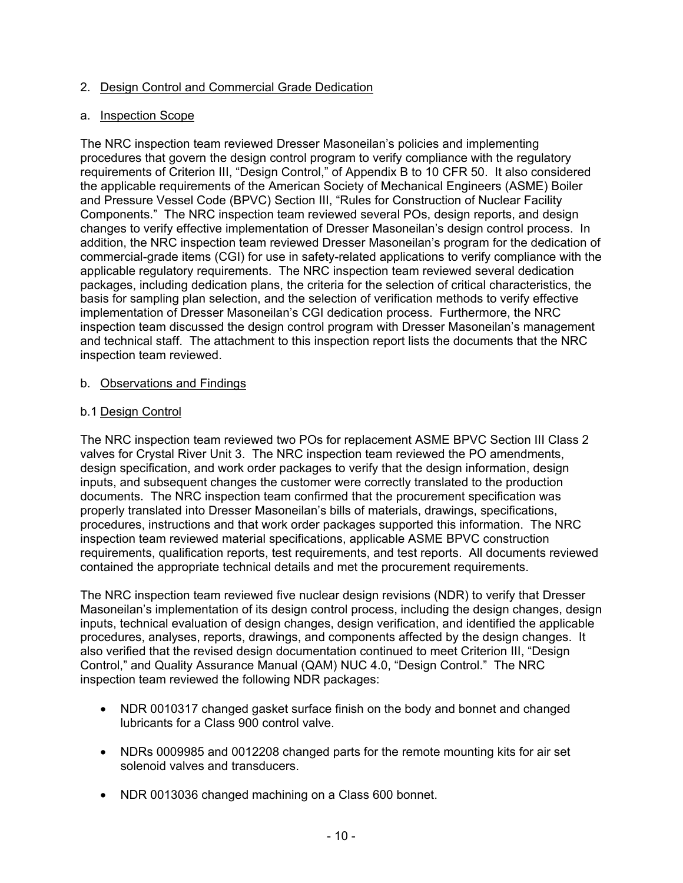### 2. Design Control and Commercial Grade Dedication

#### a. Inspection Scope

The NRC inspection team reviewed Dresser Masoneilan's policies and implementing procedures that govern the design control program to verify compliance with the regulatory requirements of Criterion III, "Design Control," of Appendix B to 10 CFR 50. It also considered the applicable requirements of the American Society of Mechanical Engineers (ASME) Boiler and Pressure Vessel Code (BPVC) Section III, "Rules for Construction of Nuclear Facility Components." The NRC inspection team reviewed several POs, design reports, and design changes to verify effective implementation of Dresser Masoneilan's design control process. In addition, the NRC inspection team reviewed Dresser Masoneilan's program for the dedication of commercial-grade items (CGI) for use in safety-related applications to verify compliance with the applicable regulatory requirements. The NRC inspection team reviewed several dedication packages, including dedication plans, the criteria for the selection of critical characteristics, the basis for sampling plan selection, and the selection of verification methods to verify effective implementation of Dresser Masoneilan's CGI dedication process. Furthermore, the NRC inspection team discussed the design control program with Dresser Masoneilan's management and technical staff. The attachment to this inspection report lists the documents that the NRC inspection team reviewed.

#### b. Observations and Findings

#### b.1 Design Control

The NRC inspection team reviewed two POs for replacement ASME BPVC Section III Class 2 valves for Crystal River Unit 3. The NRC inspection team reviewed the PO amendments, design specification, and work order packages to verify that the design information, design inputs, and subsequent changes the customer were correctly translated to the production documents. The NRC inspection team confirmed that the procurement specification was properly translated into Dresser Masoneilan's bills of materials, drawings, specifications, procedures, instructions and that work order packages supported this information. The NRC inspection team reviewed material specifications, applicable ASME BPVC construction requirements, qualification reports, test requirements, and test reports. All documents reviewed contained the appropriate technical details and met the procurement requirements.

The NRC inspection team reviewed five nuclear design revisions (NDR) to verify that Dresser Masoneilan's implementation of its design control process, including the design changes, design inputs, technical evaluation of design changes, design verification, and identified the applicable procedures, analyses, reports, drawings, and components affected by the design changes. It also verified that the revised design documentation continued to meet Criterion III, "Design Control," and Quality Assurance Manual (QAM) NUC 4.0, "Design Control." The NRC inspection team reviewed the following NDR packages:

- NDR 0010317 changed gasket surface finish on the body and bonnet and changed lubricants for a Class 900 control valve.
- NDRs 0009985 and 0012208 changed parts for the remote mounting kits for air set solenoid valves and transducers.
- NDR 0013036 changed machining on a Class 600 bonnet.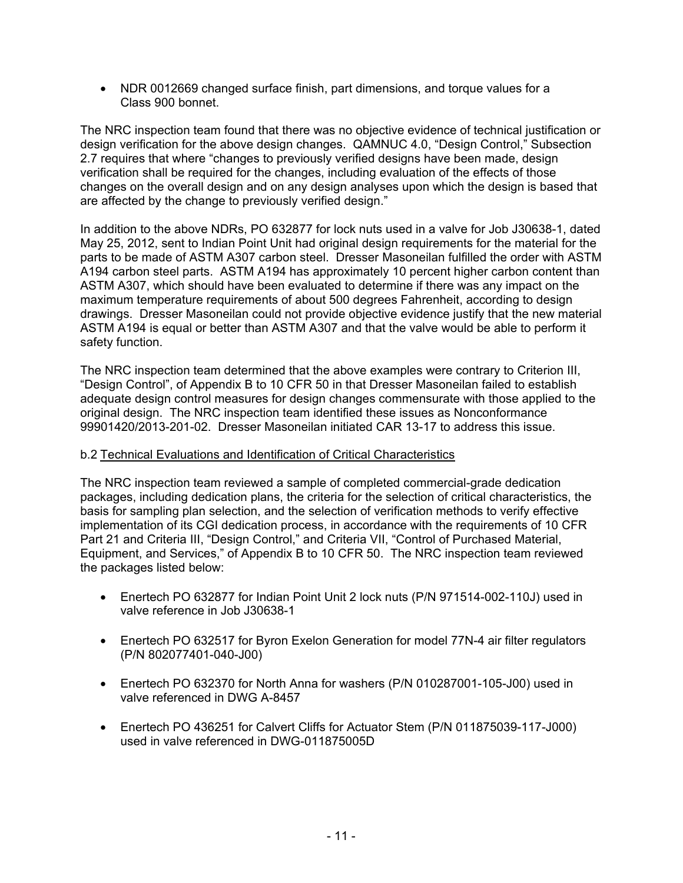• NDR 0012669 changed surface finish, part dimensions, and torque values for a Class 900 bonnet.

The NRC inspection team found that there was no objective evidence of technical justification or design verification for the above design changes. QAMNUC 4.0, "Design Control," Subsection 2.7 requires that where "changes to previously verified designs have been made, design verification shall be required for the changes, including evaluation of the effects of those changes on the overall design and on any design analyses upon which the design is based that are affected by the change to previously verified design."

In addition to the above NDRs, PO 632877 for lock nuts used in a valve for Job J30638-1, dated May 25, 2012, sent to Indian Point Unit had original design requirements for the material for the parts to be made of ASTM A307 carbon steel. Dresser Masoneilan fulfilled the order with ASTM A194 carbon steel parts. ASTM A194 has approximately 10 percent higher carbon content than ASTM A307, which should have been evaluated to determine if there was any impact on the maximum temperature requirements of about 500 degrees Fahrenheit, according to design drawings. Dresser Masoneilan could not provide objective evidence justify that the new material ASTM A194 is equal or better than ASTM A307 and that the valve would be able to perform it safety function.

The NRC inspection team determined that the above examples were contrary to Criterion III, "Design Control", of Appendix B to 10 CFR 50 in that Dresser Masoneilan failed to establish adequate design control measures for design changes commensurate with those applied to the original design. The NRC inspection team identified these issues as Nonconformance 99901420/2013-201-02. Dresser Masoneilan initiated CAR 13-17 to address this issue.

#### b.2 Technical Evaluations and Identification of Critical Characteristics

The NRC inspection team reviewed a sample of completed commercial-grade dedication packages, including dedication plans, the criteria for the selection of critical characteristics, the basis for sampling plan selection, and the selection of verification methods to verify effective implementation of its CGI dedication process, in accordance with the requirements of 10 CFR Part 21 and Criteria III, "Design Control," and Criteria VII, "Control of Purchased Material, Equipment, and Services," of Appendix B to 10 CFR 50. The NRC inspection team reviewed the packages listed below:

- Enertech PO 632877 for Indian Point Unit 2 lock nuts (P/N 971514-002-110J) used in valve reference in Job J30638-1
- Enertech PO 632517 for Byron Exelon Generation for model 77N-4 air filter regulators (P/N 802077401-040-J00)
- Enertech PO 632370 for North Anna for washers (P/N 010287001-105-J00) used in valve referenced in DWG A-8457
- Enertech PO 436251 for Calvert Cliffs for Actuator Stem (P/N 011875039-117-J000) used in valve referenced in DWG-011875005D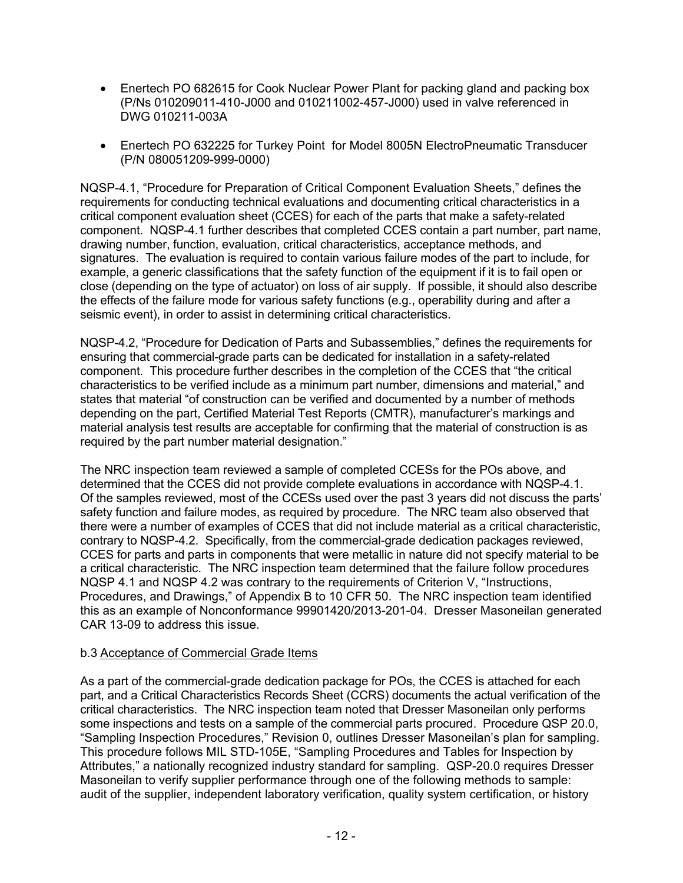- Enertech PO 682615 for Cook Nuclear Power Plant for packing gland and packing box (P/Ns 010209011-410-J000 and 010211002-457-J000) used in valve referenced in DWG 010211-003A
- Enertech PO 632225 for Turkey Point for Model 8005N ElectroPneumatic Transducer (P/N 080051209-999-0000)

NQSP-4.1, "Procedure for Preparation of Critical Component Evaluation Sheets," defines the requirements for conducting technical evaluations and documenting critical characteristics in a critical component evaluation sheet (CCES) for each of the parts that make a safety-related component. NQSP-4.1 further describes that completed CCES contain a part number, part name, drawing number, function, evaluation, critical characteristics, acceptance methods, and signatures. The evaluation is required to contain various failure modes of the part to include, for example, a generic classifications that the safety function of the equipment if it is to fail open or close (depending on the type of actuator) on loss of air supply. If possible, it should also describe the effects of the failure mode for various safety functions (e.g., operability during and after a seismic event), in order to assist in determining critical characteristics.

NQSP-4.2, "Procedure for Dedication of Parts and Subassemblies," defines the requirements for ensuring that commercial-grade parts can be dedicated for installation in a safety-related component. This procedure further describes in the completion of the CCES that "the critical characteristics to be verified include as a minimum part number, dimensions and material," and states that material "of construction can be verified and documented by a number of methods depending on the part, Certified Material Test Reports (CMTR), manufacturer's markings and material analysis test results are acceptable for confirming that the material of construction is as required by the part number material designation."

The NRC inspection team reviewed a sample of completed CCESs for the POs above, and determined that the CCES did not provide complete evaluations in accordance with NQSP-4.1. Of the samples reviewed, most of the CCESs used over the past 3 years did not discuss the parts' safety function and failure modes, as required by procedure. The NRC team also observed that there were a number of examples of CCES that did not include material as a critical characteristic, contrary to NQSP-4.2. Specifically, from the commercial-grade dedication packages reviewed, CCES for parts and parts in components that were metallic in nature did not specify material to be a critical characteristic. The NRC inspection team determined that the failure follow procedures NQSP 4.1 and NQSP 4.2 was contrary to the requirements of Criterion V, "Instructions, Procedures, and Drawings," of Appendix B to 10 CFR 50. The NRC inspection team identified this as an example of Nonconformance 99901420/2013-201-04. Dresser Masoneilan generated CAR 13-09 to address this issue.

#### b.3 Acceptance of Commercial Grade Items

As a part of the commercial-grade dedication package for POs, the CCES is attached for each part, and a Critical Characteristics Records Sheet (CCRS) documents the actual verification of the critical characteristics. The NRC inspection team noted that Dresser Masoneilan only performs some inspections and tests on a sample of the commercial parts procured. Procedure QSP 20.0, "Sampling Inspection Procedures," Revision 0, outlines Dresser Masoneilan's plan for sampling. This procedure follows MIL STD-105E, "Sampling Procedures and Tables for Inspection by Attributes," a nationally recognized industry standard for sampling. QSP-20.0 requires Dresser Masoneilan to verify supplier performance through one of the following methods to sample: audit of the supplier, independent laboratory verification, quality system certification, or history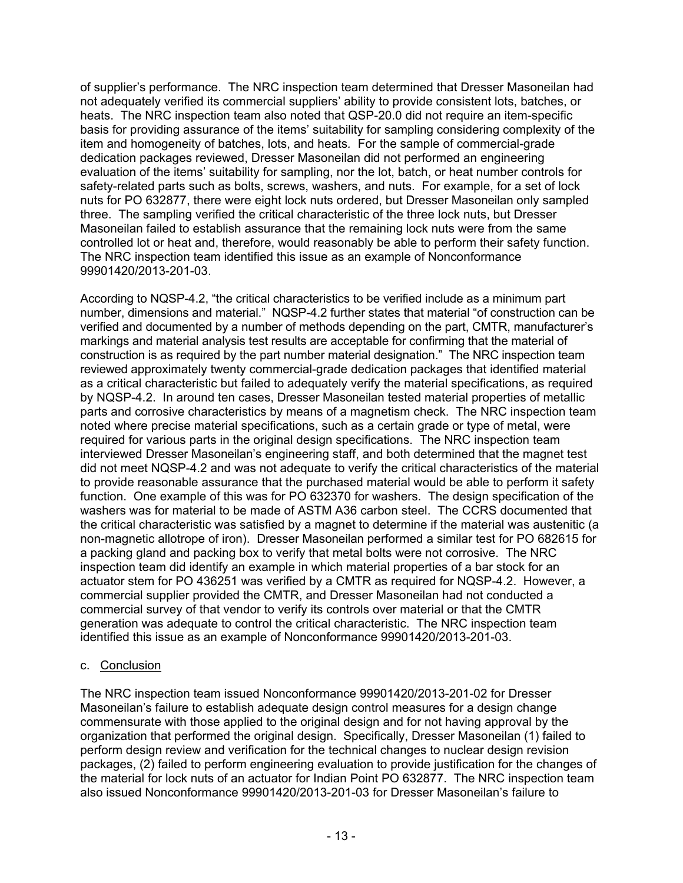of supplier's performance. The NRC inspection team determined that Dresser Masoneilan had not adequately verified its commercial suppliers' ability to provide consistent lots, batches, or heats. The NRC inspection team also noted that QSP-20.0 did not require an item-specific basis for providing assurance of the items' suitability for sampling considering complexity of the item and homogeneity of batches, lots, and heats*.* For the sample of commercial-grade dedication packages reviewed, Dresser Masoneilan did not performed an engineering evaluation of the items' suitability for sampling, nor the lot, batch, or heat number controls for safety-related parts such as bolts, screws, washers, and nuts. For example, for a set of lock nuts for PO 632877, there were eight lock nuts ordered, but Dresser Masoneilan only sampled three. The sampling verified the critical characteristic of the three lock nuts, but Dresser Masoneilan failed to establish assurance that the remaining lock nuts were from the same controlled lot or heat and, therefore, would reasonably be able to perform their safety function. The NRC inspection team identified this issue as an example of Nonconformance 99901420/2013-201-03.

According to NQSP-4.2, "the critical characteristics to be verified include as a minimum part number, dimensions and material." NQSP-4.2 further states that material "of construction can be verified and documented by a number of methods depending on the part, CMTR, manufacturer's markings and material analysis test results are acceptable for confirming that the material of construction is as required by the part number material designation." The NRC inspection team reviewed approximately twenty commercial-grade dedication packages that identified material as a critical characteristic but failed to adequately verify the material specifications, as required by NQSP-4.2. In around ten cases, Dresser Masoneilan tested material properties of metallic parts and corrosive characteristics by means of a magnetism check. The NRC inspection team noted where precise material specifications, such as a certain grade or type of metal, were required for various parts in the original design specifications. The NRC inspection team interviewed Dresser Masoneilan's engineering staff, and both determined that the magnet test did not meet NQSP-4.2 and was not adequate to verify the critical characteristics of the material to provide reasonable assurance that the purchased material would be able to perform it safety function. One example of this was for PO 632370 for washers. The design specification of the washers was for material to be made of ASTM A36 carbon steel. The CCRS documented that the critical characteristic was satisfied by a magnet to determine if the material was austenitic (a non-magnetic allotrope of iron). Dresser Masoneilan performed a similar test for PO 682615 for a packing gland and packing box to verify that metal bolts were not corrosive. The NRC inspection team did identify an example in which material properties of a bar stock for an actuator stem for PO 436251 was verified by a CMTR as required for NQSP-4.2. However, a commercial supplier provided the CMTR, and Dresser Masoneilan had not conducted a commercial survey of that vendor to verify its controls over material or that the CMTR generation was adequate to control the critical characteristic. The NRC inspection team identified this issue as an example of Nonconformance 99901420/2013-201-03.

### c. Conclusion

The NRC inspection team issued Nonconformance 99901420/2013-201-02 for Dresser Masoneilan's failure to establish adequate design control measures for a design change commensurate with those applied to the original design and for not having approval by the organization that performed the original design. Specifically, Dresser Masoneilan (1) failed to perform design review and verification for the technical changes to nuclear design revision packages, (2) failed to perform engineering evaluation to provide justification for the changes of the material for lock nuts of an actuator for Indian Point PO 632877. The NRC inspection team also issued Nonconformance 99901420/2013-201-03 for Dresser Masoneilan's failure to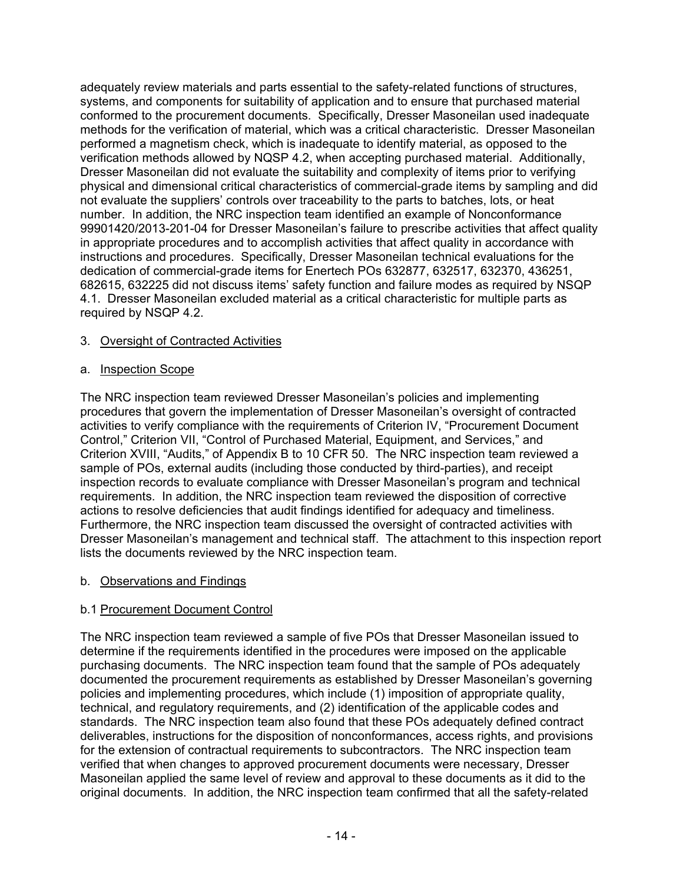adequately review materials and parts essential to the safety-related functions of structures, systems, and components for suitability of application and to ensure that purchased material conformed to the procurement documents. Specifically, Dresser Masoneilan used inadequate methods for the verification of material, which was a critical characteristic. Dresser Masoneilan performed a magnetism check, which is inadequate to identify material, as opposed to the verification methods allowed by NQSP 4.2, when accepting purchased material. Additionally, Dresser Masoneilan did not evaluate the suitability and complexity of items prior to verifying physical and dimensional critical characteristics of commercial-grade items by sampling and did not evaluate the suppliers' controls over traceability to the parts to batches, lots, or heat number. In addition, the NRC inspection team identified an example of Nonconformance 99901420/2013-201-04 for Dresser Masoneilan's failure to prescribe activities that affect quality in appropriate procedures and to accomplish activities that affect quality in accordance with instructions and procedures. Specifically, Dresser Masoneilan technical evaluations for the dedication of commercial-grade items for Enertech POs 632877, 632517, 632370, 436251, 682615, 632225 did not discuss items' safety function and failure modes as required by NSQP 4.1. Dresser Masoneilan excluded material as a critical characteristic for multiple parts as required by NSQP 4.2.

### 3. Oversight of Contracted Activities

#### a. Inspection Scope

The NRC inspection team reviewed Dresser Masoneilan's policies and implementing procedures that govern the implementation of Dresser Masoneilan's oversight of contracted activities to verify compliance with the requirements of Criterion IV, "Procurement Document Control," Criterion VII, "Control of Purchased Material, Equipment, and Services," and Criterion XVIII, "Audits," of Appendix B to 10 CFR 50. The NRC inspection team reviewed a sample of POs, external audits (including those conducted by third-parties), and receipt inspection records to evaluate compliance with Dresser Masoneilan's program and technical requirements. In addition, the NRC inspection team reviewed the disposition of corrective actions to resolve deficiencies that audit findings identified for adequacy and timeliness. Furthermore, the NRC inspection team discussed the oversight of contracted activities with Dresser Masoneilan's management and technical staff. The attachment to this inspection report lists the documents reviewed by the NRC inspection team.

### b. Observations and Findings

### b.1 Procurement Document Control

The NRC inspection team reviewed a sample of five POs that Dresser Masoneilan issued to determine if the requirements identified in the procedures were imposed on the applicable purchasing documents. The NRC inspection team found that the sample of POs adequately documented the procurement requirements as established by Dresser Masoneilan's governing policies and implementing procedures, which include (1) imposition of appropriate quality, technical, and regulatory requirements, and (2) identification of the applicable codes and standards. The NRC inspection team also found that these POs adequately defined contract deliverables, instructions for the disposition of nonconformances, access rights, and provisions for the extension of contractual requirements to subcontractors. The NRC inspection team verified that when changes to approved procurement documents were necessary, Dresser Masoneilan applied the same level of review and approval to these documents as it did to the original documents. In addition, the NRC inspection team confirmed that all the safety-related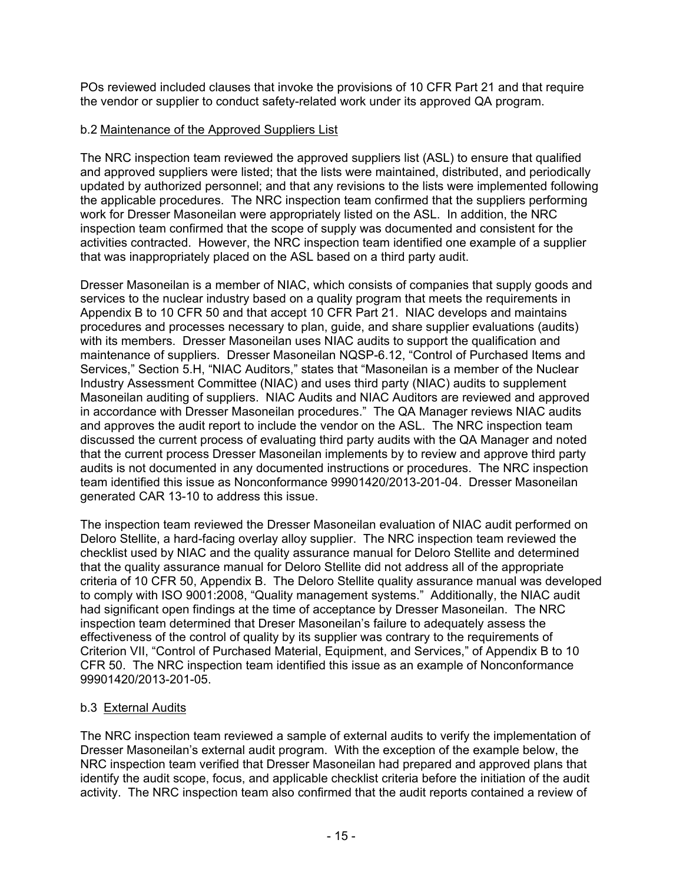POs reviewed included clauses that invoke the provisions of 10 CFR Part 21 and that require the vendor or supplier to conduct safety-related work under its approved QA program.

### b.2 Maintenance of the Approved Suppliers List

The NRC inspection team reviewed the approved suppliers list (ASL) to ensure that qualified and approved suppliers were listed; that the lists were maintained, distributed, and periodically updated by authorized personnel; and that any revisions to the lists were implemented following the applicable procedures. The NRC inspection team confirmed that the suppliers performing work for Dresser Masoneilan were appropriately listed on the ASL. In addition, the NRC inspection team confirmed that the scope of supply was documented and consistent for the activities contracted. However, the NRC inspection team identified one example of a supplier that was inappropriately placed on the ASL based on a third party audit.

Dresser Masoneilan is a member of NIAC, which consists of companies that supply goods and services to the nuclear industry based on a quality program that meets the requirements in Appendix B to 10 CFR 50 and that accept 10 CFR Part 21. NIAC develops and maintains procedures and processes necessary to plan, guide, and share supplier evaluations (audits) with its members. Dresser Masoneilan uses NIAC audits to support the qualification and maintenance of suppliers. Dresser Masoneilan NQSP-6.12, "Control of Purchased Items and Services," Section 5.H, "NIAC Auditors," states that "Masoneilan is a member of the Nuclear Industry Assessment Committee (NIAC) and uses third party (NIAC) audits to supplement Masoneilan auditing of suppliers. NIAC Audits and NIAC Auditors are reviewed and approved in accordance with Dresser Masoneilan procedures." The QA Manager reviews NIAC audits and approves the audit report to include the vendor on the ASL. The NRC inspection team discussed the current process of evaluating third party audits with the QA Manager and noted that the current process Dresser Masoneilan implements by to review and approve third party audits is not documented in any documented instructions or procedures. The NRC inspection team identified this issue as Nonconformance 99901420/2013-201-04. Dresser Masoneilan generated CAR 13-10 to address this issue.

The inspection team reviewed the Dresser Masoneilan evaluation of NIAC audit performed on Deloro Stellite, a hard-facing overlay alloy supplier. The NRC inspection team reviewed the checklist used by NIAC and the quality assurance manual for Deloro Stellite and determined that the quality assurance manual for Deloro Stellite did not address all of the appropriate criteria of 10 CFR 50, Appendix B. The Deloro Stellite quality assurance manual was developed to comply with ISO 9001:2008, "Quality management systems." Additionally, the NIAC audit had significant open findings at the time of acceptance by Dresser Masoneilan. The NRC inspection team determined that Dreser Masoneilan's failure to adequately assess the effectiveness of the control of quality by its supplier was contrary to the requirements of Criterion VII, "Control of Purchased Material, Equipment, and Services," of Appendix B to 10 CFR 50. The NRC inspection team identified this issue as an example of Nonconformance 99901420/2013-201-05.

### b.3 External Audits

The NRC inspection team reviewed a sample of external audits to verify the implementation of Dresser Masoneilan's external audit program. With the exception of the example below, the NRC inspection team verified that Dresser Masoneilan had prepared and approved plans that identify the audit scope, focus, and applicable checklist criteria before the initiation of the audit activity. The NRC inspection team also confirmed that the audit reports contained a review of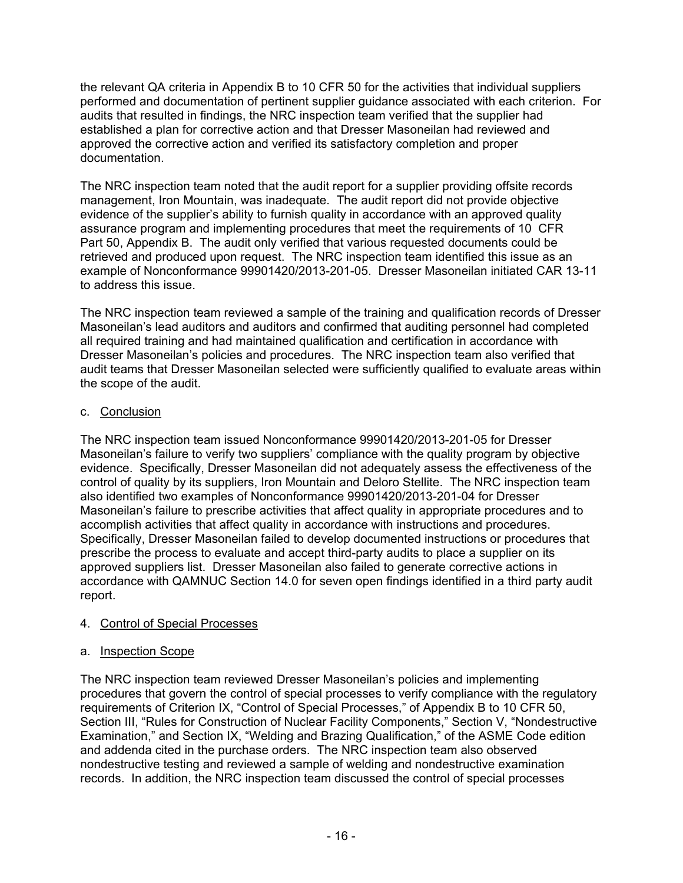the relevant QA criteria in Appendix B to 10 CFR 50 for the activities that individual suppliers performed and documentation of pertinent supplier guidance associated with each criterion. For audits that resulted in findings, the NRC inspection team verified that the supplier had established a plan for corrective action and that Dresser Masoneilan had reviewed and approved the corrective action and verified its satisfactory completion and proper documentation.

The NRC inspection team noted that the audit report for a supplier providing offsite records management, Iron Mountain, was inadequate. The audit report did not provide objective evidence of the supplier's ability to furnish quality in accordance with an approved quality assurance program and implementing procedures that meet the requirements of 10 CFR Part 50, Appendix B. The audit only verified that various requested documents could be retrieved and produced upon request. The NRC inspection team identified this issue as an example of Nonconformance 99901420/2013-201-05. Dresser Masoneilan initiated CAR 13-11 to address this issue.

The NRC inspection team reviewed a sample of the training and qualification records of Dresser Masoneilan's lead auditors and auditors and confirmed that auditing personnel had completed all required training and had maintained qualification and certification in accordance with Dresser Masoneilan's policies and procedures. The NRC inspection team also verified that audit teams that Dresser Masoneilan selected were sufficiently qualified to evaluate areas within the scope of the audit.

## c. Conclusion

The NRC inspection team issued Nonconformance 99901420/2013-201-05 for Dresser Masoneilan's failure to verify two suppliers' compliance with the quality program by objective evidence. Specifically, Dresser Masoneilan did not adequately assess the effectiveness of the control of quality by its suppliers, Iron Mountain and Deloro Stellite. The NRC inspection team also identified two examples of Nonconformance 99901420/2013-201-04 for Dresser Masoneilan's failure to prescribe activities that affect quality in appropriate procedures and to accomplish activities that affect quality in accordance with instructions and procedures. Specifically, Dresser Masoneilan failed to develop documented instructions or procedures that prescribe the process to evaluate and accept third-party audits to place a supplier on its approved suppliers list. Dresser Masoneilan also failed to generate corrective actions in accordance with QAMNUC Section 14.0 for seven open findings identified in a third party audit report.

### 4. Control of Special Processes

### a. Inspection Scope

The NRC inspection team reviewed Dresser Masoneilan's policies and implementing procedures that govern the control of special processes to verify compliance with the regulatory requirements of Criterion IX, "Control of Special Processes," of Appendix B to 10 CFR 50, Section III, "Rules for Construction of Nuclear Facility Components," Section V, "Nondestructive Examination," and Section IX, "Welding and Brazing Qualification," of the ASME Code edition and addenda cited in the purchase orders. The NRC inspection team also observed nondestructive testing and reviewed a sample of welding and nondestructive examination records. In addition, the NRC inspection team discussed the control of special processes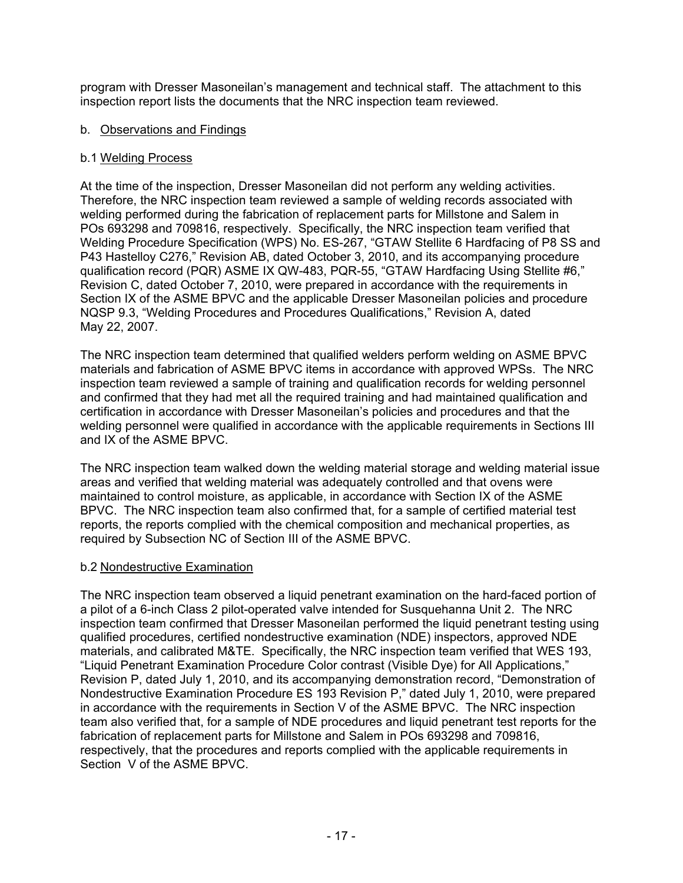program with Dresser Masoneilan's management and technical staff. The attachment to this inspection report lists the documents that the NRC inspection team reviewed.

#### b. Observations and Findings

#### b.1 Welding Process

At the time of the inspection, Dresser Masoneilan did not perform any welding activities. Therefore, the NRC inspection team reviewed a sample of welding records associated with welding performed during the fabrication of replacement parts for Millstone and Salem in POs 693298 and 709816, respectively. Specifically, the NRC inspection team verified that Welding Procedure Specification (WPS) No. ES-267, "GTAW Stellite 6 Hardfacing of P8 SS and P43 Hastelloy C276," Revision AB, dated October 3, 2010, and its accompanying procedure qualification record (PQR) ASME IX QW-483, PQR-55, "GTAW Hardfacing Using Stellite #6," Revision C, dated October 7, 2010, were prepared in accordance with the requirements in Section IX of the ASME BPVC and the applicable Dresser Masoneilan policies and procedure NQSP 9.3, "Welding Procedures and Procedures Qualifications," Revision A, dated May 22, 2007.

The NRC inspection team determined that qualified welders perform welding on ASME BPVC materials and fabrication of ASME BPVC items in accordance with approved WPSs. The NRC inspection team reviewed a sample of training and qualification records for welding personnel and confirmed that they had met all the required training and had maintained qualification and certification in accordance with Dresser Masoneilan's policies and procedures and that the welding personnel were qualified in accordance with the applicable requirements in Sections III and IX of the ASME BPVC.

The NRC inspection team walked down the welding material storage and welding material issue areas and verified that welding material was adequately controlled and that ovens were maintained to control moisture, as applicable, in accordance with Section IX of the ASME BPVC. The NRC inspection team also confirmed that, for a sample of certified material test reports, the reports complied with the chemical composition and mechanical properties, as required by Subsection NC of Section III of the ASME BPVC.

#### b.2 Nondestructive Examination

The NRC inspection team observed a liquid penetrant examination on the hard-faced portion of a pilot of a 6-inch Class 2 pilot-operated valve intended for Susquehanna Unit 2. The NRC inspection team confirmed that Dresser Masoneilan performed the liquid penetrant testing using qualified procedures, certified nondestructive examination (NDE) inspectors, approved NDE materials, and calibrated M&TE. Specifically, the NRC inspection team verified that WES 193, "Liquid Penetrant Examination Procedure Color contrast (Visible Dye) for All Applications," Revision P, dated July 1, 2010, and its accompanying demonstration record, "Demonstration of Nondestructive Examination Procedure ES 193 Revision P," dated July 1, 2010, were prepared in accordance with the requirements in Section V of the ASME BPVC. The NRC inspection team also verified that, for a sample of NDE procedures and liquid penetrant test reports for the fabrication of replacement parts for Millstone and Salem in POs 693298 and 709816, respectively, that the procedures and reports complied with the applicable requirements in Section V of the ASME BPVC.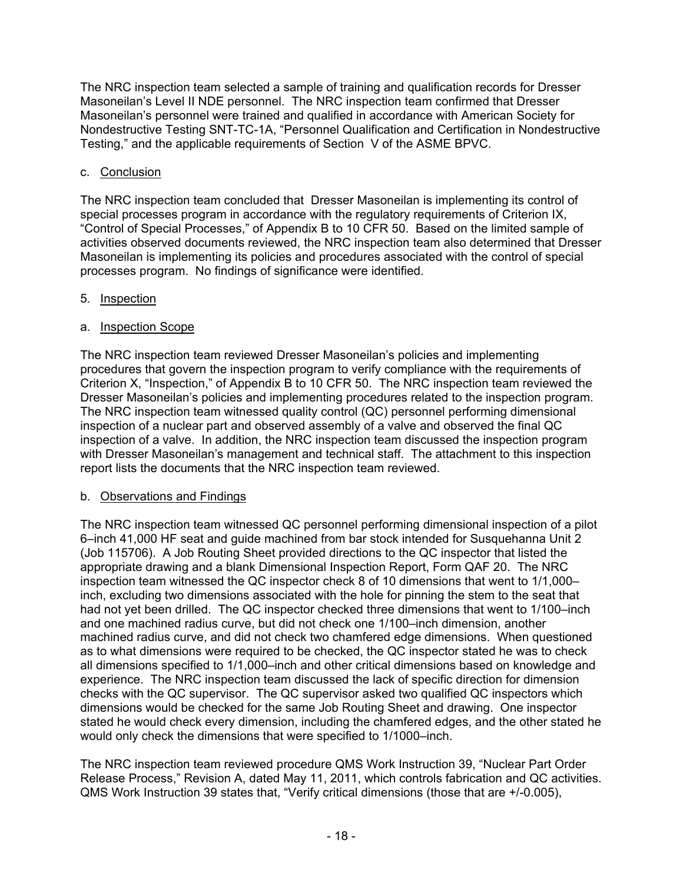The NRC inspection team selected a sample of training and qualification records for Dresser Masoneilan's Level II NDE personnel. The NRC inspection team confirmed that Dresser Masoneilan's personnel were trained and qualified in accordance with American Society for Nondestructive Testing SNT-TC-1A, "Personnel Qualification and Certification in Nondestructive Testing," and the applicable requirements of Section V of the ASME BPVC.

## c. Conclusion

The NRC inspection team concluded that Dresser Masoneilan is implementing its control of special processes program in accordance with the regulatory requirements of Criterion IX, "Control of Special Processes," of Appendix B to 10 CFR 50. Based on the limited sample of activities observed documents reviewed, the NRC inspection team also determined that Dresser Masoneilan is implementing its policies and procedures associated with the control of special processes program. No findings of significance were identified.

### 5. Inspection

## a. Inspection Scope

The NRC inspection team reviewed Dresser Masoneilan's policies and implementing procedures that govern the inspection program to verify compliance with the requirements of Criterion X, "Inspection," of Appendix B to 10 CFR 50. The NRC inspection team reviewed the Dresser Masoneilan's policies and implementing procedures related to the inspection program. The NRC inspection team witnessed quality control (QC) personnel performing dimensional inspection of a nuclear part and observed assembly of a valve and observed the final QC inspection of a valve. In addition, the NRC inspection team discussed the inspection program with Dresser Masoneilan's management and technical staff. The attachment to this inspection report lists the documents that the NRC inspection team reviewed.

### b. Observations and Findings

The NRC inspection team witnessed QC personnel performing dimensional inspection of a pilot 6–inch 41,000 HF seat and guide machined from bar stock intended for Susquehanna Unit 2 (Job 115706). A Job Routing Sheet provided directions to the QC inspector that listed the appropriate drawing and a blank Dimensional Inspection Report, Form QAF 20. The NRC inspection team witnessed the QC inspector check 8 of 10 dimensions that went to 1/1,000– inch, excluding two dimensions associated with the hole for pinning the stem to the seat that had not yet been drilled. The QC inspector checked three dimensions that went to 1/100–inch and one machined radius curve, but did not check one 1/100–inch dimension, another machined radius curve, and did not check two chamfered edge dimensions. When questioned as to what dimensions were required to be checked, the QC inspector stated he was to check all dimensions specified to 1/1,000–inch and other critical dimensions based on knowledge and experience. The NRC inspection team discussed the lack of specific direction for dimension checks with the QC supervisor. The QC supervisor asked two qualified QC inspectors which dimensions would be checked for the same Job Routing Sheet and drawing. One inspector stated he would check every dimension, including the chamfered edges, and the other stated he would only check the dimensions that were specified to 1/1000–inch.

The NRC inspection team reviewed procedure QMS Work Instruction 39, "Nuclear Part Order Release Process," Revision A, dated May 11, 2011, which controls fabrication and QC activities. QMS Work Instruction 39 states that, "Verify critical dimensions (those that are +/-0.005),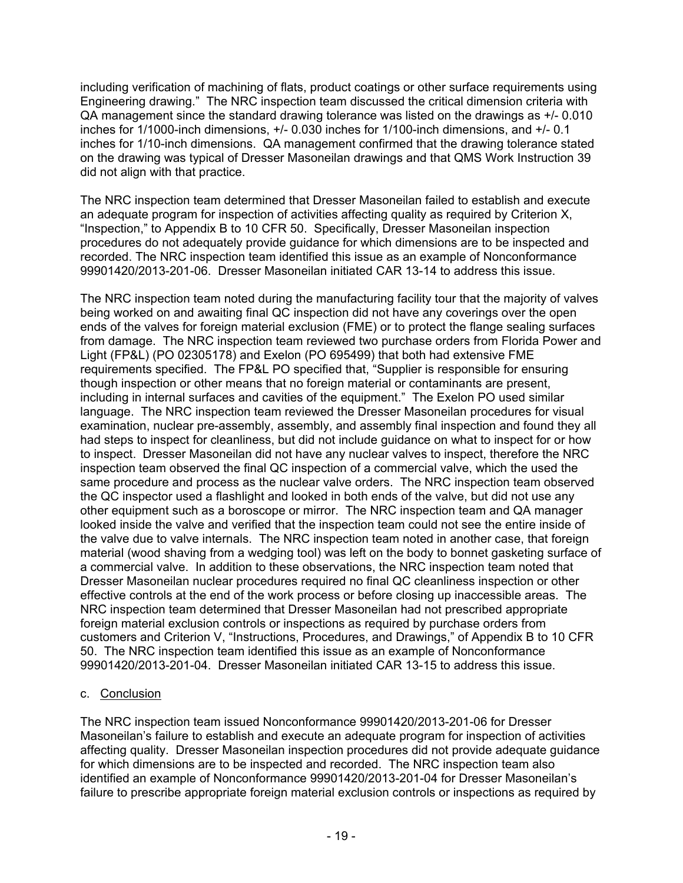including verification of machining of flats, product coatings or other surface requirements using Engineering drawing." The NRC inspection team discussed the critical dimension criteria with QA management since the standard drawing tolerance was listed on the drawings as +/- 0.010 inches for 1/1000-inch dimensions, +/- 0.030 inches for 1/100-inch dimensions, and +/- 0.1 inches for 1/10-inch dimensions. QA management confirmed that the drawing tolerance stated on the drawing was typical of Dresser Masoneilan drawings and that QMS Work Instruction 39 did not align with that practice.

The NRC inspection team determined that Dresser Masoneilan failed to establish and execute an adequate program for inspection of activities affecting quality as required by Criterion X, "Inspection," to Appendix B to 10 CFR 50. Specifically, Dresser Masoneilan inspection procedures do not adequately provide guidance for which dimensions are to be inspected and recorded. The NRC inspection team identified this issue as an example of Nonconformance 99901420/2013-201-06. Dresser Masoneilan initiated CAR 13-14 to address this issue.

The NRC inspection team noted during the manufacturing facility tour that the majority of valves being worked on and awaiting final QC inspection did not have any coverings over the open ends of the valves for foreign material exclusion (FME) or to protect the flange sealing surfaces from damage. The NRC inspection team reviewed two purchase orders from Florida Power and Light (FP&L) (PO 02305178) and Exelon (PO 695499) that both had extensive FME requirements specified. The FP&L PO specified that, "Supplier is responsible for ensuring though inspection or other means that no foreign material or contaminants are present, including in internal surfaces and cavities of the equipment." The Exelon PO used similar language. The NRC inspection team reviewed the Dresser Masoneilan procedures for visual examination, nuclear pre-assembly, assembly, and assembly final inspection and found they all had steps to inspect for cleanliness, but did not include guidance on what to inspect for or how to inspect. Dresser Masoneilan did not have any nuclear valves to inspect, therefore the NRC inspection team observed the final QC inspection of a commercial valve, which the used the same procedure and process as the nuclear valve orders. The NRC inspection team observed the QC inspector used a flashlight and looked in both ends of the valve, but did not use any other equipment such as a boroscope or mirror. The NRC inspection team and QA manager looked inside the valve and verified that the inspection team could not see the entire inside of the valve due to valve internals. The NRC inspection team noted in another case, that foreign material (wood shaving from a wedging tool) was left on the body to bonnet gasketing surface of a commercial valve. In addition to these observations, the NRC inspection team noted that Dresser Masoneilan nuclear procedures required no final QC cleanliness inspection or other effective controls at the end of the work process or before closing up inaccessible areas. The NRC inspection team determined that Dresser Masoneilan had not prescribed appropriate foreign material exclusion controls or inspections as required by purchase orders from customers and Criterion V, "Instructions, Procedures, and Drawings," of Appendix B to 10 CFR 50. The NRC inspection team identified this issue as an example of Nonconformance 99901420/2013-201-04. Dresser Masoneilan initiated CAR 13-15 to address this issue.

### c. Conclusion

The NRC inspection team issued Nonconformance 99901420/2013-201-06 for Dresser Masoneilan's failure to establish and execute an adequate program for inspection of activities affecting quality. Dresser Masoneilan inspection procedures did not provide adequate guidance for which dimensions are to be inspected and recorded. The NRC inspection team also identified an example of Nonconformance 99901420/2013-201-04 for Dresser Masoneilan's failure to prescribe appropriate foreign material exclusion controls or inspections as required by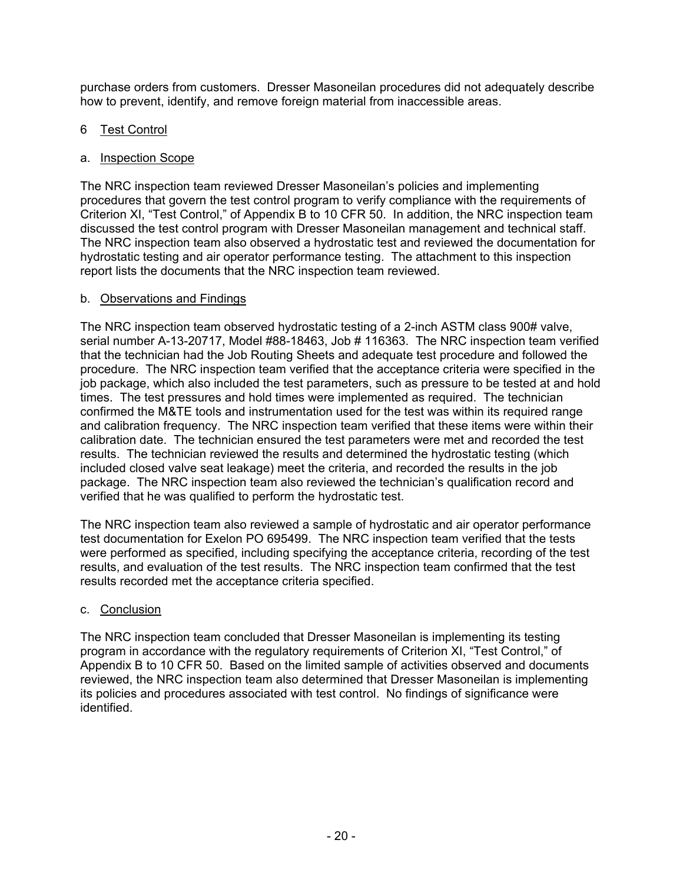purchase orders from customers. Dresser Masoneilan procedures did not adequately describe how to prevent, identify, and remove foreign material from inaccessible areas.

### 6 Test Control

### a. Inspection Scope

The NRC inspection team reviewed Dresser Masoneilan's policies and implementing procedures that govern the test control program to verify compliance with the requirements of Criterion XI, "Test Control," of Appendix B to 10 CFR 50. In addition, the NRC inspection team discussed the test control program with Dresser Masoneilan management and technical staff. The NRC inspection team also observed a hydrostatic test and reviewed the documentation for hydrostatic testing and air operator performance testing. The attachment to this inspection report lists the documents that the NRC inspection team reviewed.

### b. Observations and Findings

The NRC inspection team observed hydrostatic testing of a 2-inch ASTM class 900# valve, serial number A-13-20717, Model #88-18463, Job # 116363. The NRC inspection team verified that the technician had the Job Routing Sheets and adequate test procedure and followed the procedure. The NRC inspection team verified that the acceptance criteria were specified in the job package, which also included the test parameters, such as pressure to be tested at and hold times. The test pressures and hold times were implemented as required. The technician confirmed the M&TE tools and instrumentation used for the test was within its required range and calibration frequency. The NRC inspection team verified that these items were within their calibration date. The technician ensured the test parameters were met and recorded the test results. The technician reviewed the results and determined the hydrostatic testing (which included closed valve seat leakage) meet the criteria, and recorded the results in the job package. The NRC inspection team also reviewed the technician's qualification record and verified that he was qualified to perform the hydrostatic test.

The NRC inspection team also reviewed a sample of hydrostatic and air operator performance test documentation for Exelon PO 695499. The NRC inspection team verified that the tests were performed as specified, including specifying the acceptance criteria, recording of the test results, and evaluation of the test results. The NRC inspection team confirmed that the test results recorded met the acceptance criteria specified.

### c. Conclusion

The NRC inspection team concluded that Dresser Masoneilan is implementing its testing program in accordance with the regulatory requirements of Criterion XI, "Test Control," of Appendix B to 10 CFR 50. Based on the limited sample of activities observed and documents reviewed, the NRC inspection team also determined that Dresser Masoneilan is implementing its policies and procedures associated with test control. No findings of significance were identified.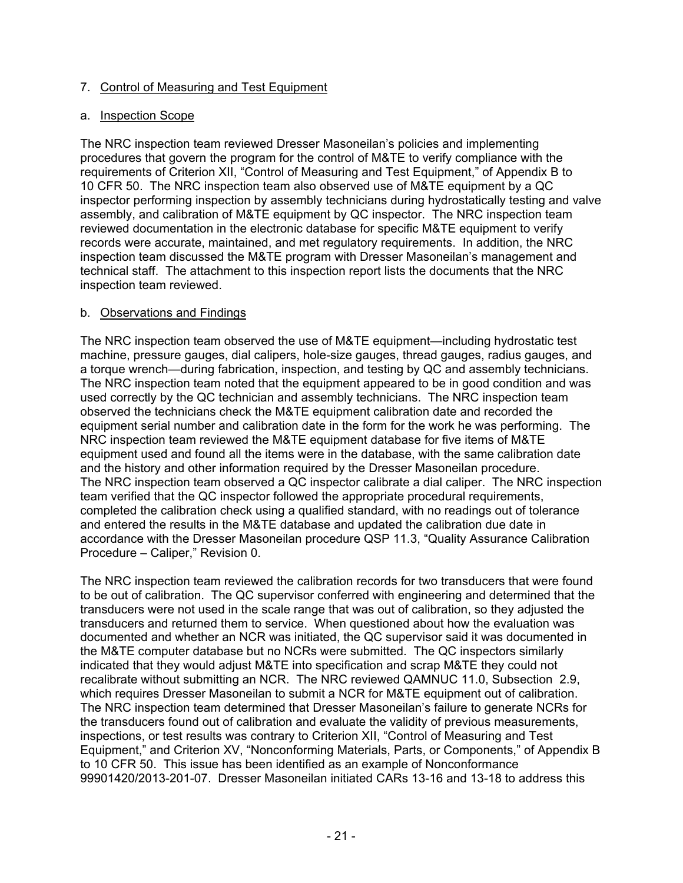### 7. Control of Measuring and Test Equipment

#### a. Inspection Scope

The NRC inspection team reviewed Dresser Masoneilan's policies and implementing procedures that govern the program for the control of M&TE to verify compliance with the requirements of Criterion XII, "Control of Measuring and Test Equipment," of Appendix B to 10 CFR 50. The NRC inspection team also observed use of M&TE equipment by a QC inspector performing inspection by assembly technicians during hydrostatically testing and valve assembly, and calibration of M&TE equipment by QC inspector. The NRC inspection team reviewed documentation in the electronic database for specific M&TE equipment to verify records were accurate, maintained, and met regulatory requirements. In addition, the NRC inspection team discussed the M&TE program with Dresser Masoneilan's management and technical staff. The attachment to this inspection report lists the documents that the NRC inspection team reviewed.

### b. Observations and Findings

The NRC inspection team observed the use of M&TE equipment—including hydrostatic test machine, pressure gauges, dial calipers, hole-size gauges, thread gauges, radius gauges, and a torque wrench—during fabrication, inspection, and testing by QC and assembly technicians. The NRC inspection team noted that the equipment appeared to be in good condition and was used correctly by the QC technician and assembly technicians. The NRC inspection team observed the technicians check the M&TE equipment calibration date and recorded the equipment serial number and calibration date in the form for the work he was performing. The NRC inspection team reviewed the M&TE equipment database for five items of M&TE equipment used and found all the items were in the database, with the same calibration date and the history and other information required by the Dresser Masoneilan procedure. The NRC inspection team observed a QC inspector calibrate a dial caliper. The NRC inspection team verified that the QC inspector followed the appropriate procedural requirements, completed the calibration check using a qualified standard, with no readings out of tolerance and entered the results in the M&TE database and updated the calibration due date in accordance with the Dresser Masoneilan procedure QSP 11.3, "Quality Assurance Calibration Procedure – Caliper," Revision 0.

The NRC inspection team reviewed the calibration records for two transducers that were found to be out of calibration. The QC supervisor conferred with engineering and determined that the transducers were not used in the scale range that was out of calibration, so they adjusted the transducers and returned them to service. When questioned about how the evaluation was documented and whether an NCR was initiated, the QC supervisor said it was documented in the M&TE computer database but no NCRs were submitted. The QC inspectors similarly indicated that they would adjust M&TE into specification and scrap M&TE they could not recalibrate without submitting an NCR. The NRC reviewed QAMNUC 11.0, Subsection 2.9, which requires Dresser Masoneilan to submit a NCR for M&TE equipment out of calibration. The NRC inspection team determined that Dresser Masoneilan's failure to generate NCRs for the transducers found out of calibration and evaluate the validity of previous measurements, inspections, or test results was contrary to Criterion XII, "Control of Measuring and Test Equipment," and Criterion XV, "Nonconforming Materials, Parts, or Components," of Appendix B to 10 CFR 50. This issue has been identified as an example of Nonconformance 99901420/2013-201-07. Dresser Masoneilan initiated CARs 13-16 and 13-18 to address this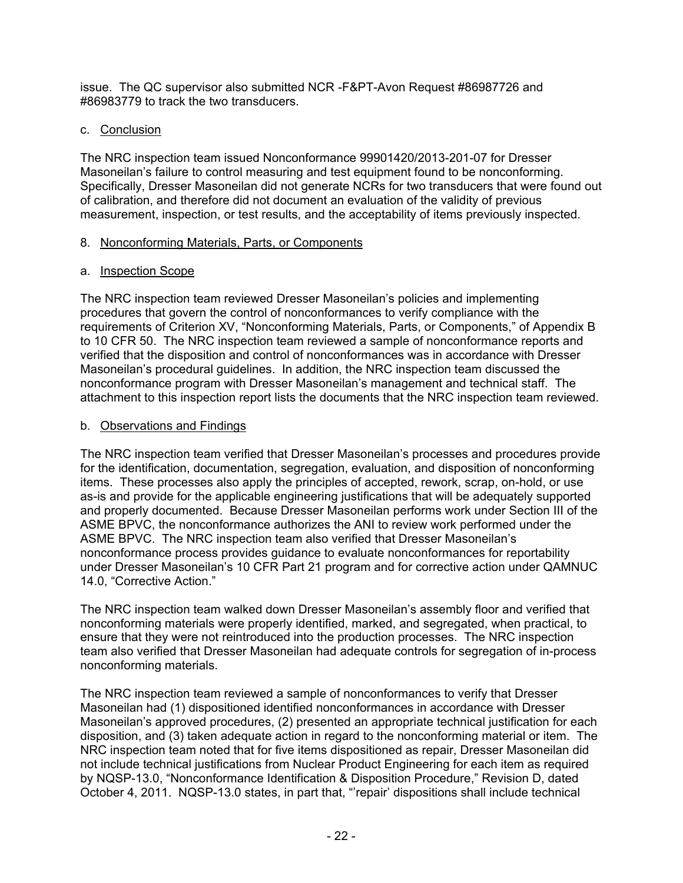issue. The QC supervisor also submitted NCR -F&PT-Avon Request #86987726 and #86983779 to track the two transducers.

### c. Conclusion

The NRC inspection team issued Nonconformance 99901420/2013-201-07 for Dresser Masoneilan's failure to control measuring and test equipment found to be nonconforming. Specifically, Dresser Masoneilan did not generate NCRs for two transducers that were found out of calibration, and therefore did not document an evaluation of the validity of previous measurement, inspection, or test results, and the acceptability of items previously inspected.

### 8. Nonconforming Materials, Parts, or Components

### a. Inspection Scope

The NRC inspection team reviewed Dresser Masoneilan's policies and implementing procedures that govern the control of nonconformances to verify compliance with the requirements of Criterion XV, "Nonconforming Materials, Parts, or Components," of Appendix B to 10 CFR 50. The NRC inspection team reviewed a sample of nonconformance reports and verified that the disposition and control of nonconformances was in accordance with Dresser Masoneilan's procedural guidelines. In addition, the NRC inspection team discussed the nonconformance program with Dresser Masoneilan's management and technical staff. The attachment to this inspection report lists the documents that the NRC inspection team reviewed.

### b. Observations and Findings

The NRC inspection team verified that Dresser Masoneilan's processes and procedures provide for the identification, documentation, segregation, evaluation, and disposition of nonconforming items. These processes also apply the principles of accepted, rework, scrap, on-hold, or use as-is and provide for the applicable engineering justifications that will be adequately supported and properly documented. Because Dresser Masoneilan performs work under Section III of the ASME BPVC, the nonconformance authorizes the ANI to review work performed under the ASME BPVC. The NRC inspection team also verified that Dresser Masoneilan's nonconformance process provides guidance to evaluate nonconformances for reportability under Dresser Masoneilan's 10 CFR Part 21 program and for corrective action under QAMNUC 14.0, "Corrective Action."

The NRC inspection team walked down Dresser Masoneilan's assembly floor and verified that nonconforming materials were properly identified, marked, and segregated, when practical, to ensure that they were not reintroduced into the production processes. The NRC inspection team also verified that Dresser Masoneilan had adequate controls for segregation of in-process nonconforming materials.

The NRC inspection team reviewed a sample of nonconformances to verify that Dresser Masoneilan had (1) dispositioned identified nonconformances in accordance with Dresser Masoneilan's approved procedures, (2) presented an appropriate technical justification for each disposition, and (3) taken adequate action in regard to the nonconforming material or item. The NRC inspection team noted that for five items dispositioned as repair, Dresser Masoneilan did not include technical justifications from Nuclear Product Engineering for each item as required by NQSP-13.0, "Nonconformance Identification & Disposition Procedure," Revision D, dated October 4, 2011. NQSP-13.0 states, in part that, "'repair' dispositions shall include technical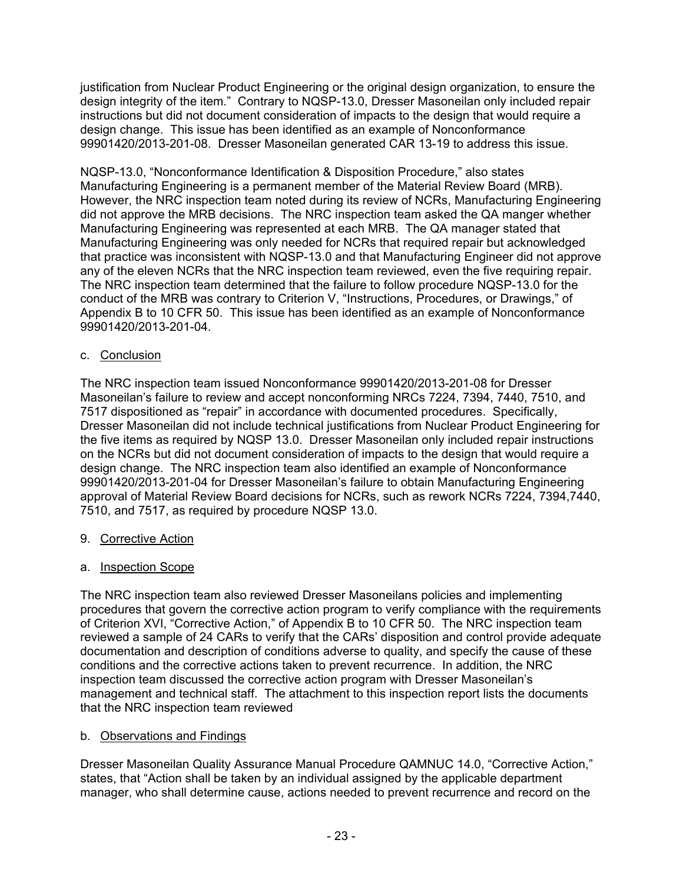justification from Nuclear Product Engineering or the original design organization, to ensure the design integrity of the item." Contrary to NQSP-13.0, Dresser Masoneilan only included repair instructions but did not document consideration of impacts to the design that would require a design change. This issue has been identified as an example of Nonconformance 99901420/2013-201-08. Dresser Masoneilan generated CAR 13-19 to address this issue.

NQSP-13.0, "Nonconformance Identification & Disposition Procedure," also states Manufacturing Engineering is a permanent member of the Material Review Board (MRB). However, the NRC inspection team noted during its review of NCRs, Manufacturing Engineering did not approve the MRB decisions. The NRC inspection team asked the QA manger whether Manufacturing Engineering was represented at each MRB. The QA manager stated that Manufacturing Engineering was only needed for NCRs that required repair but acknowledged that practice was inconsistent with NQSP-13.0 and that Manufacturing Engineer did not approve any of the eleven NCRs that the NRC inspection team reviewed, even the five requiring repair. The NRC inspection team determined that the failure to follow procedure NQSP-13.0 for the conduct of the MRB was contrary to Criterion V, "Instructions, Procedures, or Drawings," of Appendix B to 10 CFR 50. This issue has been identified as an example of Nonconformance 99901420/2013-201-04.

### c. Conclusion

The NRC inspection team issued Nonconformance 99901420/2013-201-08 for Dresser Masoneilan's failure to review and accept nonconforming NRCs 7224, 7394, 7440, 7510, and 7517 dispositioned as "repair" in accordance with documented procedures. Specifically, Dresser Masoneilan did not include technical justifications from Nuclear Product Engineering for the five items as required by NQSP 13.0. Dresser Masoneilan only included repair instructions on the NCRs but did not document consideration of impacts to the design that would require a design change. The NRC inspection team also identified an example of Nonconformance 99901420/2013-201-04 for Dresser Masoneilan's failure to obtain Manufacturing Engineering approval of Material Review Board decisions for NCRs, such as rework NCRs 7224, 7394,7440, 7510, and 7517, as required by procedure NQSP 13.0.

### 9. Corrective Action

### a. Inspection Scope

The NRC inspection team also reviewed Dresser Masoneilans policies and implementing procedures that govern the corrective action program to verify compliance with the requirements of Criterion XVI, "Corrective Action," of Appendix B to 10 CFR 50. The NRC inspection team reviewed a sample of 24 CARs to verify that the CARs' disposition and control provide adequate documentation and description of conditions adverse to quality, and specify the cause of these conditions and the corrective actions taken to prevent recurrence. In addition, the NRC inspection team discussed the corrective action program with Dresser Masoneilan's management and technical staff. The attachment to this inspection report lists the documents that the NRC inspection team reviewed

### b. Observations and Findings

Dresser Masoneilan Quality Assurance Manual Procedure QAMNUC 14.0, "Corrective Action," states, that "Action shall be taken by an individual assigned by the applicable department manager, who shall determine cause, actions needed to prevent recurrence and record on the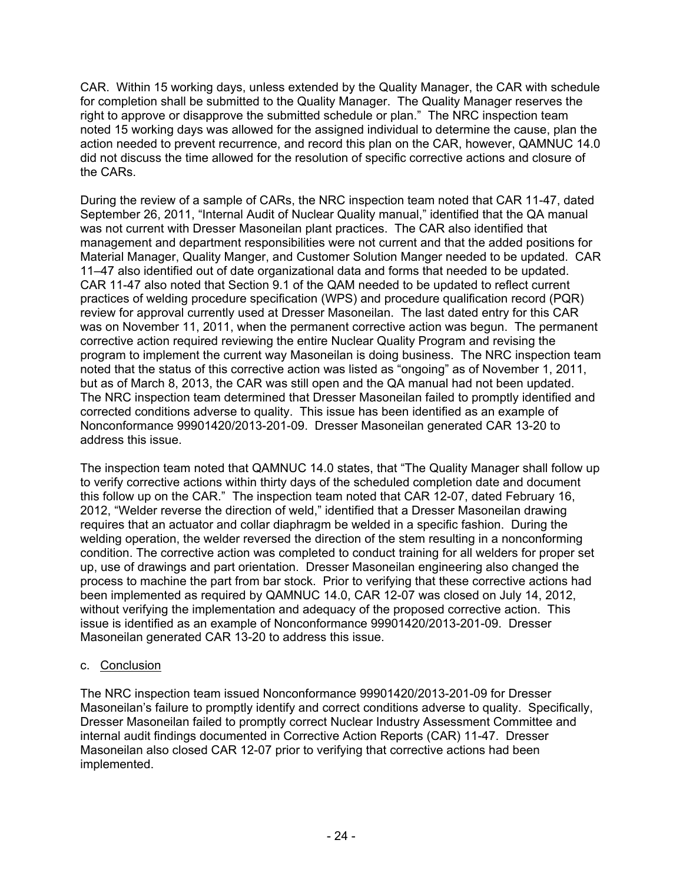CAR. Within 15 working days, unless extended by the Quality Manager, the CAR with schedule for completion shall be submitted to the Quality Manager. The Quality Manager reserves the right to approve or disapprove the submitted schedule or plan." The NRC inspection team noted 15 working days was allowed for the assigned individual to determine the cause, plan the action needed to prevent recurrence, and record this plan on the CAR, however, QAMNUC 14.0 did not discuss the time allowed for the resolution of specific corrective actions and closure of the CARs.

During the review of a sample of CARs, the NRC inspection team noted that CAR 11-47, dated September 26, 2011, "Internal Audit of Nuclear Quality manual," identified that the QA manual was not current with Dresser Masoneilan plant practices. The CAR also identified that management and department responsibilities were not current and that the added positions for Material Manager, Quality Manger, and Customer Solution Manger needed to be updated. CAR 11–47 also identified out of date organizational data and forms that needed to be updated. CAR 11-47 also noted that Section 9.1 of the QAM needed to be updated to reflect current practices of welding procedure specification (WPS) and procedure qualification record (PQR) review for approval currently used at Dresser Masoneilan. The last dated entry for this CAR was on November 11, 2011, when the permanent corrective action was begun. The permanent corrective action required reviewing the entire Nuclear Quality Program and revising the program to implement the current way Masoneilan is doing business. The NRC inspection team noted that the status of this corrective action was listed as "ongoing" as of November 1, 2011, but as of March 8, 2013, the CAR was still open and the QA manual had not been updated. The NRC inspection team determined that Dresser Masoneilan failed to promptly identified and corrected conditions adverse to quality. This issue has been identified as an example of Nonconformance 99901420/2013-201-09. Dresser Masoneilan generated CAR 13-20 to address this issue.

The inspection team noted that QAMNUC 14.0 states, that "The Quality Manager shall follow up to verify corrective actions within thirty days of the scheduled completion date and document this follow up on the CAR." The inspection team noted that CAR 12-07, dated February 16, 2012, "Welder reverse the direction of weld," identified that a Dresser Masoneilan drawing requires that an actuator and collar diaphragm be welded in a specific fashion. During the welding operation, the welder reversed the direction of the stem resulting in a nonconforming condition. The corrective action was completed to conduct training for all welders for proper set up, use of drawings and part orientation. Dresser Masoneilan engineering also changed the process to machine the part from bar stock. Prior to verifying that these corrective actions had been implemented as required by QAMNUC 14.0, CAR 12-07 was closed on July 14, 2012, without verifying the implementation and adequacy of the proposed corrective action. This issue is identified as an example of Nonconformance 99901420/2013-201-09. Dresser Masoneilan generated CAR 13-20 to address this issue.

### c. Conclusion

The NRC inspection team issued Nonconformance 99901420/2013-201-09 for Dresser Masoneilan's failure to promptly identify and correct conditions adverse to quality. Specifically, Dresser Masoneilan failed to promptly correct Nuclear Industry Assessment Committee and internal audit findings documented in Corrective Action Reports (CAR) 11-47. Dresser Masoneilan also closed CAR 12-07 prior to verifying that corrective actions had been implemented.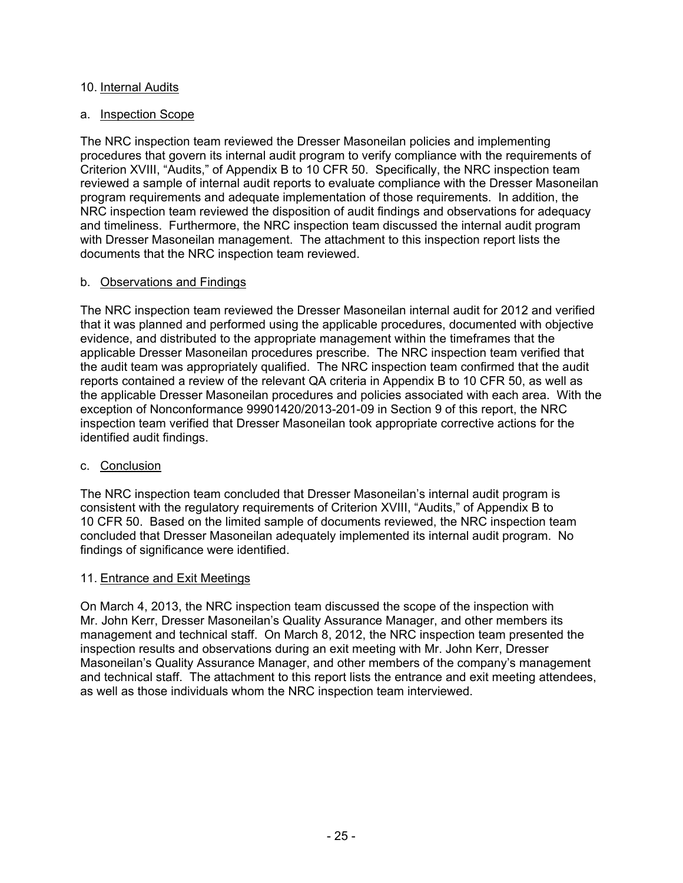#### 10. Internal Audits

#### a. Inspection Scope

The NRC inspection team reviewed the Dresser Masoneilan policies and implementing procedures that govern its internal audit program to verify compliance with the requirements of Criterion XVIII, "Audits," of Appendix B to 10 CFR 50. Specifically, the NRC inspection team reviewed a sample of internal audit reports to evaluate compliance with the Dresser Masoneilan program requirements and adequate implementation of those requirements. In addition, the NRC inspection team reviewed the disposition of audit findings and observations for adequacy and timeliness. Furthermore, the NRC inspection team discussed the internal audit program with Dresser Masoneilan management. The attachment to this inspection report lists the documents that the NRC inspection team reviewed.

#### b. Observations and Findings

The NRC inspection team reviewed the Dresser Masoneilan internal audit for 2012 and verified that it was planned and performed using the applicable procedures, documented with objective evidence, and distributed to the appropriate management within the timeframes that the applicable Dresser Masoneilan procedures prescribe. The NRC inspection team verified that the audit team was appropriately qualified. The NRC inspection team confirmed that the audit reports contained a review of the relevant QA criteria in Appendix B to 10 CFR 50, as well as the applicable Dresser Masoneilan procedures and policies associated with each area. With the exception of Nonconformance 99901420/2013-201-09 in Section 9 of this report, the NRC inspection team verified that Dresser Masoneilan took appropriate corrective actions for the identified audit findings.

#### c. Conclusion

The NRC inspection team concluded that Dresser Masoneilan's internal audit program is consistent with the regulatory requirements of Criterion XVIII, "Audits," of Appendix B to 10 CFR 50. Based on the limited sample of documents reviewed, the NRC inspection team concluded that Dresser Masoneilan adequately implemented its internal audit program. No findings of significance were identified.

#### 11. Entrance and Exit Meetings

On March 4, 2013, the NRC inspection team discussed the scope of the inspection with Mr. John Kerr, Dresser Masoneilan's Quality Assurance Manager, and other members its management and technical staff. On March 8, 2012, the NRC inspection team presented the inspection results and observations during an exit meeting with Mr. John Kerr, Dresser Masoneilan's Quality Assurance Manager, and other members of the company's management and technical staff. The attachment to this report lists the entrance and exit meeting attendees, as well as those individuals whom the NRC inspection team interviewed.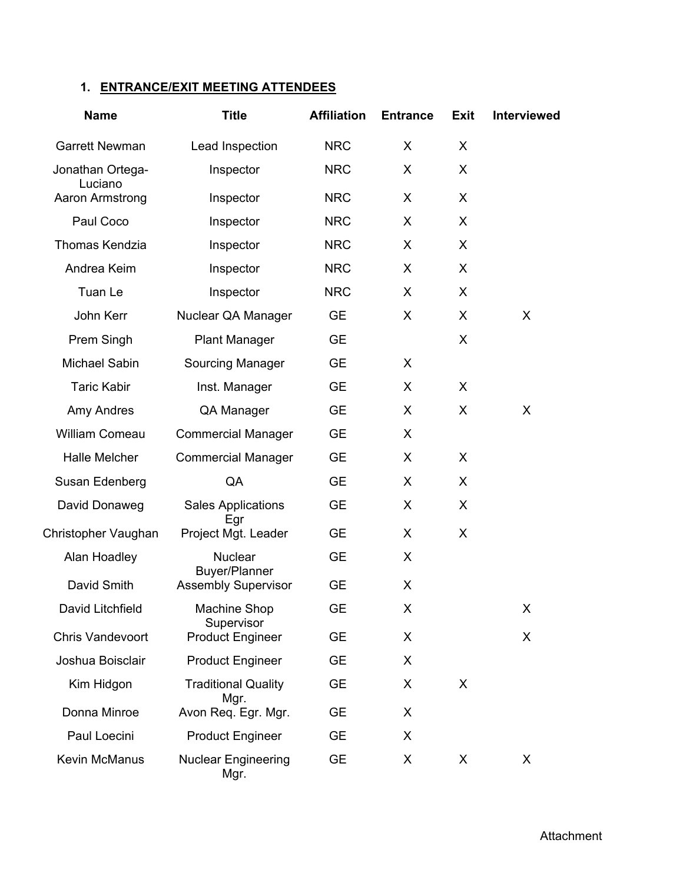# **1. ENTRANCE/EXIT MEETING ATTENDEES**

| <b>Name</b>                | <b>Title</b>                           | <b>Affiliation</b> | <b>Entrance</b> | <b>Exit</b> | <b>Interviewed</b> |
|----------------------------|----------------------------------------|--------------------|-----------------|-------------|--------------------|
| <b>Garrett Newman</b>      | Lead Inspection                        | <b>NRC</b>         | X               | X           |                    |
| Jonathan Ortega-           | Inspector                              | <b>NRC</b>         | X               | X           |                    |
| Luciano<br>Aaron Armstrong | Inspector                              | <b>NRC</b>         | X               | X           |                    |
| Paul Coco                  | Inspector                              | <b>NRC</b>         | X               | X           |                    |
| <b>Thomas Kendzia</b>      | Inspector                              | <b>NRC</b>         | X               | X           |                    |
| Andrea Keim                | Inspector                              | <b>NRC</b>         | X               | X           |                    |
| Tuan Le                    | Inspector                              | <b>NRC</b>         | X               | X           |                    |
| John Kerr                  | Nuclear QA Manager                     | <b>GE</b>          | X               | X           | X                  |
| Prem Singh                 | <b>Plant Manager</b>                   | <b>GE</b>          |                 | X           |                    |
| Michael Sabin              | Sourcing Manager                       | <b>GE</b>          | X               |             |                    |
| <b>Taric Kabir</b>         | Inst. Manager                          | <b>GE</b>          | X               | X           |                    |
| Amy Andres                 | QA Manager                             | <b>GE</b>          | X               | X           | X                  |
| William Comeau             | <b>Commercial Manager</b>              | <b>GE</b>          | X               |             |                    |
| <b>Halle Melcher</b>       | <b>Commercial Manager</b>              | <b>GE</b>          | X               | X           |                    |
| Susan Edenberg             | QA                                     | <b>GE</b>          | X               | X           |                    |
| David Donaweg              | <b>Sales Applications</b><br>Egr       | <b>GE</b>          | X               | X           |                    |
| Christopher Vaughan        | Project Mgt. Leader                    | <b>GE</b>          | X               | X           |                    |
| Alan Hoadley               | <b>Nuclear</b><br><b>Buyer/Planner</b> | <b>GE</b>          | X               |             |                    |
| David Smith                | <b>Assembly Supervisor</b>             | <b>GE</b>          | X               |             |                    |
| David Litchfield           | <b>Machine Shop</b><br>Supervisor      | GЕ                 | X               |             | X                  |
| <b>Chris Vandevoort</b>    | <b>Product Engineer</b>                | <b>GE</b>          | X               |             | X                  |
| Joshua Boisclair           | <b>Product Engineer</b>                | <b>GE</b>          | X               |             |                    |
| Kim Hidgon                 | <b>Traditional Quality</b><br>Mgr.     | <b>GE</b>          | X               | X           |                    |
| Donna Minroe               | Avon Req. Egr. Mgr.                    | <b>GE</b>          | X               |             |                    |
| Paul Loecini               | <b>Product Engineer</b>                | <b>GE</b>          | X               |             |                    |
| Kevin McManus              | <b>Nuclear Engineering</b><br>Mgr.     | GE                 | X               | X           | X                  |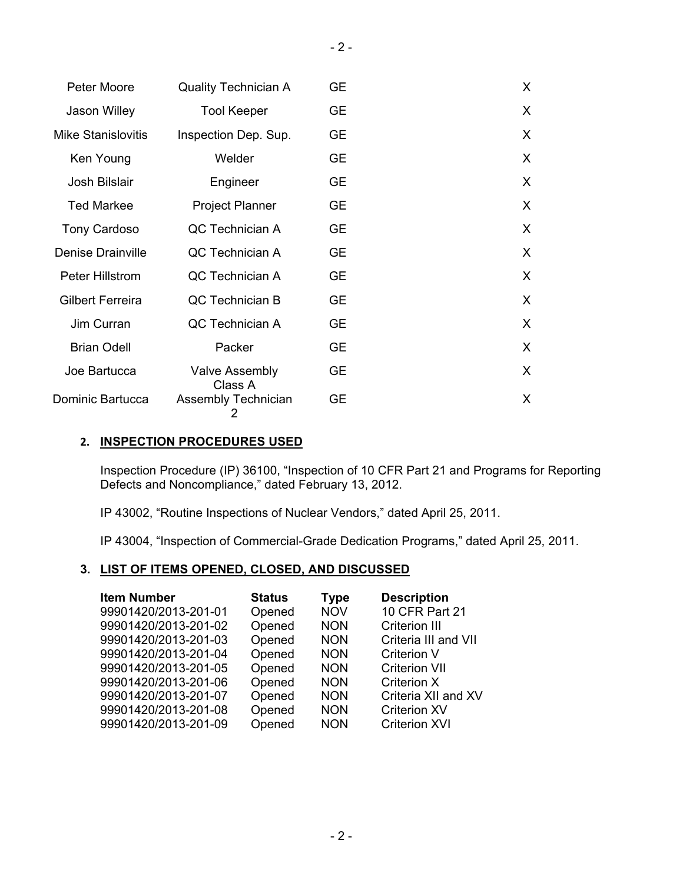| Peter Moore               | <b>Quality Technician A</b>      | <b>GE</b> | X.           |
|---------------------------|----------------------------------|-----------|--------------|
| Jason Willey              | <b>Tool Keeper</b>               | <b>GE</b> | X.           |
| <b>Mike Stanislovitis</b> | Inspection Dep. Sup.             | <b>GE</b> | X            |
| Ken Young                 | Welder                           | <b>GE</b> | X.           |
| Josh Bilslair             | Engineer                         | <b>GE</b> | $\sf X$      |
| <b>Ted Markee</b>         | <b>Project Planner</b>           | <b>GE</b> | X            |
| Tony Cardoso              | QC Technician A                  | <b>GE</b> | $\sf X$      |
| <b>Denise Drainville</b>  | QC Technician A                  | <b>GE</b> | $\sf X$      |
| Peter Hillstrom           | QC Technician A                  | <b>GE</b> | $\mathsf{X}$ |
| Gilbert Ferreira          | QC Technician B                  | <b>GE</b> | $\sf X$      |
| Jim Curran                | QC Technician A                  | <b>GE</b> | X            |
| <b>Brian Odell</b>        | Packer                           | <b>GE</b> | X.           |
| Joe Bartucca              | <b>Valve Assembly</b><br>Class A | <b>GE</b> | $\sf X$      |
| Dominic Bartucca          | <b>Assembly Technician</b><br>2  | <b>GE</b> | $\sf X$      |

### **2. INSPECTION PROCEDURES USED**

Inspection Procedure (IP) 36100, "Inspection of 10 CFR Part 21 and Programs for Reporting Defects and Noncompliance," dated February 13, 2012.

IP 43002, "Routine Inspections of Nuclear Vendors," dated April 25, 2011.

IP 43004, "Inspection of Commercial-Grade Dedication Programs," dated April 25, 2011.

### **3. LIST OF ITEMS OPENED, CLOSED, AND DISCUSSED**

| <b>Item Number</b>   | <b>Status</b> | <b>Type</b> | <b>Description</b>   |
|----------------------|---------------|-------------|----------------------|
| 99901420/2013-201-01 | Opened        | <b>NOV</b>  | 10 CFR Part 21       |
| 99901420/2013-201-02 | Opened        | <b>NON</b>  | <b>Criterion III</b> |
| 99901420/2013-201-03 | Opened        | <b>NON</b>  | Criteria III and VII |
| 99901420/2013-201-04 | Opened        | <b>NON</b>  | <b>Criterion V</b>   |
| 99901420/2013-201-05 | Opened        | <b>NON</b>  | <b>Criterion VII</b> |
| 99901420/2013-201-06 | Opened        | <b>NON</b>  | Criterion X          |
| 99901420/2013-201-07 | Opened        | <b>NON</b>  | Criteria XII and XV  |
| 99901420/2013-201-08 | Opened        | <b>NON</b>  | <b>Criterion XV</b>  |
| 99901420/2013-201-09 | Opened        | <b>NON</b>  | <b>Criterion XVI</b> |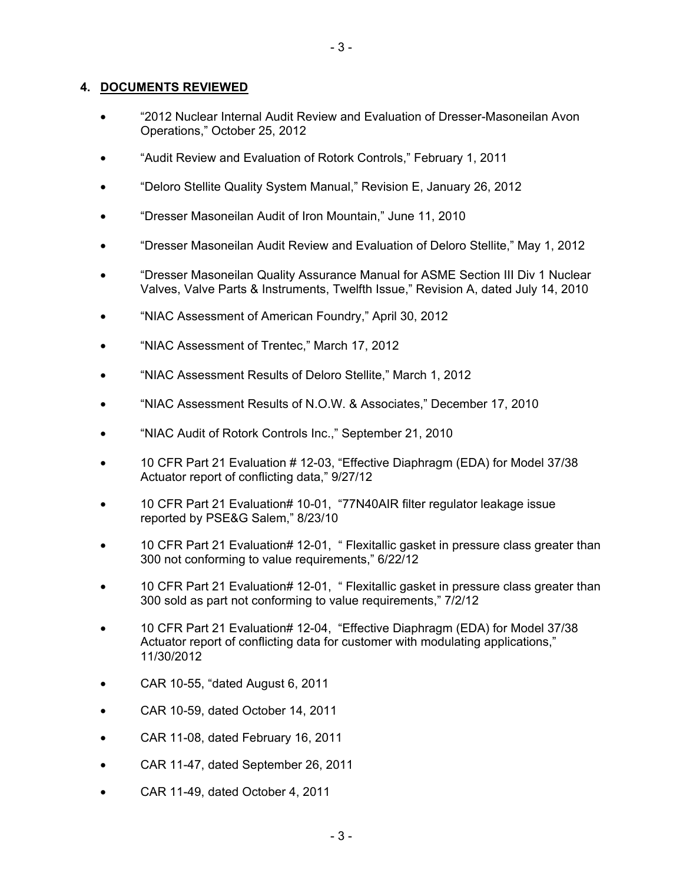#### **4. DOCUMENTS REVIEWED**

- "2012 Nuclear Internal Audit Review and Evaluation of Dresser-Masoneilan Avon Operations," October 25, 2012
- "Audit Review and Evaluation of Rotork Controls," February 1, 2011
- "Deloro Stellite Quality System Manual," Revision E, January 26, 2012
- "Dresser Masoneilan Audit of Iron Mountain," June 11, 2010
- "Dresser Masoneilan Audit Review and Evaluation of Deloro Stellite," May 1, 2012
- "Dresser Masoneilan Quality Assurance Manual for ASME Section III Div 1 Nuclear Valves, Valve Parts & Instruments, Twelfth Issue," Revision A, dated July 14, 2010
- "NIAC Assessment of American Foundry," April 30, 2012
- "NIAC Assessment of Trentec," March 17, 2012
- "NIAC Assessment Results of Deloro Stellite," March 1, 2012
- "NIAC Assessment Results of N.O.W. & Associates," December 17, 2010
- "NIAC Audit of Rotork Controls Inc.," September 21, 2010
- 10 CFR Part 21 Evaluation # 12-03, "Effective Diaphragm (EDA) for Model 37/38 Actuator report of conflicting data," 9/27/12
- 10 CFR Part 21 Evaluation# 10-01, "77N40AIR filter regulator leakage issue reported by PSE&G Salem," 8/23/10
- 10 CFR Part 21 Evaluation# 12-01, " Flexitallic gasket in pressure class greater than 300 not conforming to value requirements," 6/22/12
- 10 CFR Part 21 Evaluation# 12-01, " Flexitallic gasket in pressure class greater than 300 sold as part not conforming to value requirements," 7/2/12
- 10 CFR Part 21 Evaluation# 12-04, "Effective Diaphragm (EDA) for Model 37/38 Actuator report of conflicting data for customer with modulating applications," 11/30/2012
- CAR 10-55, "dated August 6, 2011
- CAR 10-59, dated October 14, 2011
- CAR 11-08, dated February 16, 2011
- CAR 11-47, dated September 26, 2011
- CAR 11-49, dated October 4, 2011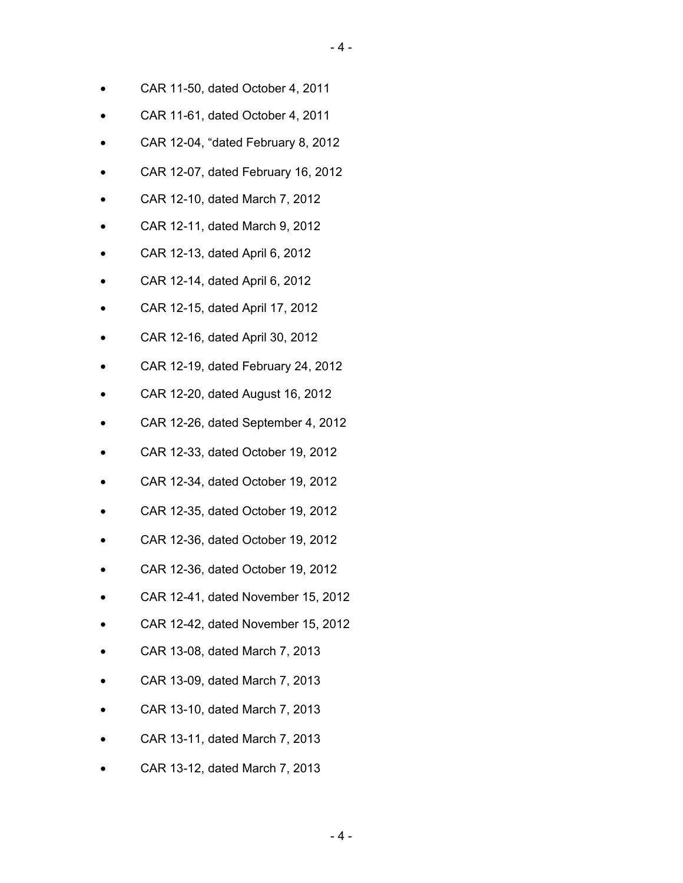- CAR 11-50, dated October 4, 2011
- CAR 11-61, dated October 4, 2011
- CAR 12-04, "dated February 8, 2012
- CAR 12-07, dated February 16, 2012
- CAR 12-10, dated March 7, 2012
- CAR 12-11, dated March 9, 2012
- CAR 12-13, dated April 6, 2012
- CAR 12-14, dated April 6, 2012
- CAR 12-15, dated April 17, 2012
- CAR 12-16, dated April 30, 2012
- CAR 12-19, dated February 24, 2012
- CAR 12-20, dated August 16, 2012
- CAR 12-26, dated September 4, 2012
- CAR 12-33, dated October 19, 2012
- CAR 12-34, dated October 19, 2012
- CAR 12-35, dated October 19, 2012
- CAR 12-36, dated October 19, 2012
- CAR 12-36, dated October 19, 2012
- CAR 12-41, dated November 15, 2012
- CAR 12-42, dated November 15, 2012
- CAR 13-08, dated March 7, 2013
- CAR 13-09, dated March 7, 2013
- CAR 13-10, dated March 7, 2013
- CAR 13-11, dated March 7, 2013
- CAR 13-12, dated March 7, 2013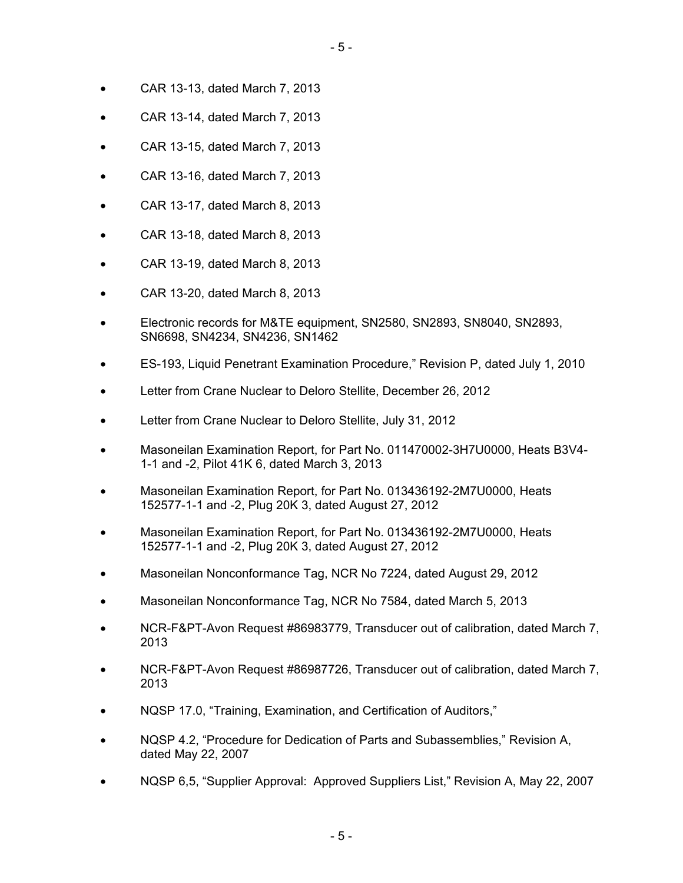- CAR 13-13, dated March 7, 2013
- CAR 13-14, dated March 7, 2013
- CAR 13-15, dated March 7, 2013
- CAR 13-16, dated March 7, 2013
- CAR 13-17, dated March 8, 2013
- CAR 13-18, dated March 8, 2013
- CAR 13-19, dated March 8, 2013
- CAR 13-20, dated March 8, 2013
- Electronic records for M&TE equipment, SN2580, SN2893, SN8040, SN2893, SN6698, SN4234, SN4236, SN1462
- ES-193, Liquid Penetrant Examination Procedure," Revision P, dated July 1, 2010
- Letter from Crane Nuclear to Deloro Stellite, December 26, 2012
- Letter from Crane Nuclear to Deloro Stellite, July 31, 2012
- Masoneilan Examination Report, for Part No. 011470002-3H7U0000, Heats B3V4- 1-1 and -2, Pilot 41K 6, dated March 3, 2013
- Masoneilan Examination Report, for Part No. 013436192-2M7U0000, Heats 152577-1-1 and -2, Plug 20K 3, dated August 27, 2012
- Masoneilan Examination Report, for Part No. 013436192-2M7U0000, Heats 152577-1-1 and -2, Plug 20K 3, dated August 27, 2012
- Masoneilan Nonconformance Tag, NCR No 7224, dated August 29, 2012
- Masoneilan Nonconformance Tag, NCR No 7584, dated March 5, 2013
- NCR-F&PT-Avon Request #86983779, Transducer out of calibration, dated March 7, 2013
- NCR-F&PT-Avon Request #86987726, Transducer out of calibration, dated March 7, 2013
- NQSP 17.0, "Training, Examination, and Certification of Auditors,"
- NQSP 4.2, "Procedure for Dedication of Parts and Subassemblies," Revision A, dated May 22, 2007
- NQSP 6,5, "Supplier Approval: Approved Suppliers List," Revision A, May 22, 2007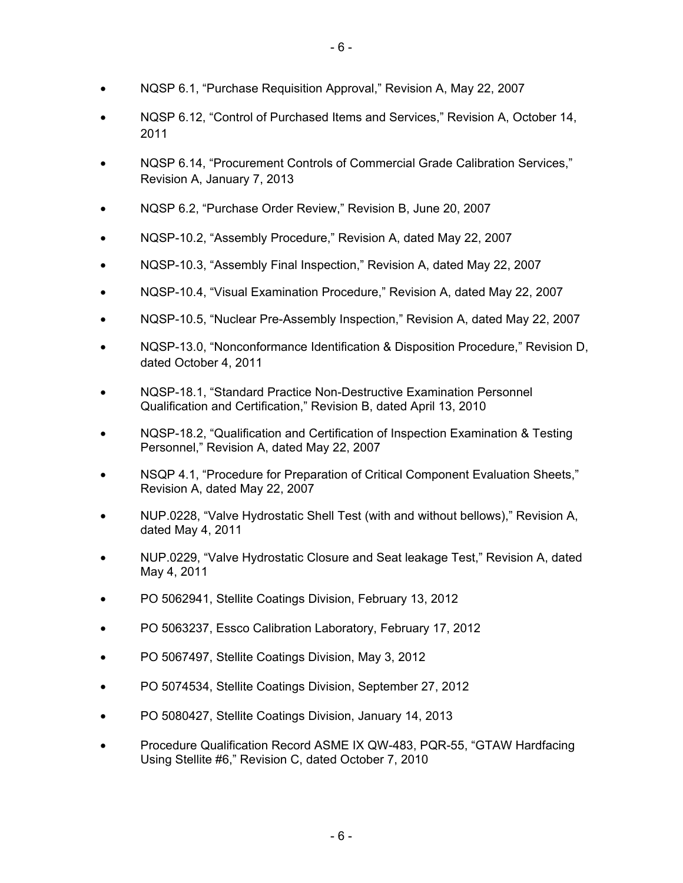- NQSP 6.1, "Purchase Requisition Approval," Revision A, May 22, 2007
- NQSP 6.12, "Control of Purchased Items and Services," Revision A, October 14, 2011
- NQSP 6.14, "Procurement Controls of Commercial Grade Calibration Services," Revision A, January 7, 2013
- NQSP 6.2, "Purchase Order Review," Revision B, June 20, 2007
- NQSP-10.2, "Assembly Procedure," Revision A, dated May 22, 2007
- NQSP-10.3, "Assembly Final Inspection," Revision A, dated May 22, 2007
- NQSP-10.4, "Visual Examination Procedure," Revision A, dated May 22, 2007
- NQSP-10.5, "Nuclear Pre-Assembly Inspection," Revision A, dated May 22, 2007
- NQSP-13.0, "Nonconformance Identification & Disposition Procedure," Revision D, dated October 4, 2011
- NQSP-18.1, "Standard Practice Non-Destructive Examination Personnel Qualification and Certification," Revision B, dated April 13, 2010
- NQSP-18.2, "Qualification and Certification of Inspection Examination & Testing Personnel," Revision A, dated May 22, 2007
- NSQP 4.1, "Procedure for Preparation of Critical Component Evaluation Sheets," Revision A, dated May 22, 2007
- NUP.0228, "Valve Hydrostatic Shell Test (with and without bellows)," Revision A, dated May 4, 2011
- NUP.0229, "Valve Hydrostatic Closure and Seat leakage Test," Revision A, dated May 4, 2011
- PO 5062941, Stellite Coatings Division, February 13, 2012
- PO 5063237, Essco Calibration Laboratory, February 17, 2012
- PO 5067497, Stellite Coatings Division, May 3, 2012
- PO 5074534, Stellite Coatings Division, September 27, 2012
- PO 5080427, Stellite Coatings Division, January 14, 2013
- Procedure Qualification Record ASME IX QW-483, PQR-55, "GTAW Hardfacing Using Stellite #6," Revision C, dated October 7, 2010